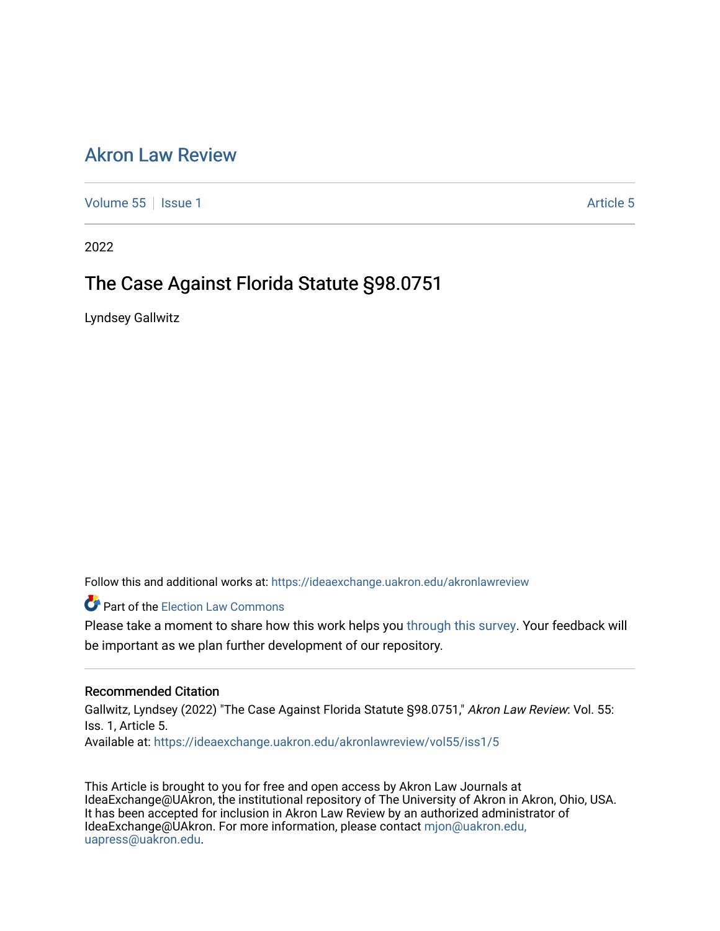# [Akron Law Review](https://ideaexchange.uakron.edu/akronlawreview)

[Volume 55](https://ideaexchange.uakron.edu/akronlawreview/vol55) | [Issue 1](https://ideaexchange.uakron.edu/akronlawreview/vol55/iss1) [Article 5](https://ideaexchange.uakron.edu/akronlawreview/vol55/iss1/5) | Issue 1 Article 5 | Issue 1 Article 5 | Issue 1 Article 5 | Issue 1 Article 5

2022

# The Case Against Florida Statute §98.0751

Lyndsey Gallwitz

Follow this and additional works at: [https://ideaexchange.uakron.edu/akronlawreview](https://ideaexchange.uakron.edu/akronlawreview?utm_source=ideaexchange.uakron.edu%2Fakronlawreview%2Fvol55%2Fiss1%2F5&utm_medium=PDF&utm_campaign=PDFCoverPages)

**Part of the [Election Law Commons](http://network.bepress.com/hgg/discipline/1121?utm_source=ideaexchange.uakron.edu%2Fakronlawreview%2Fvol55%2Fiss1%2F5&utm_medium=PDF&utm_campaign=PDFCoverPages)** 

Please take a moment to share how this work helps you [through this survey](http://survey.az1.qualtrics.com/SE/?SID=SV_eEVH54oiCbOw05f&URL=https://ideaexchange.uakron.edu/akronlawreview/vol55/iss1/5). Your feedback will be important as we plan further development of our repository.

# Recommended Citation

Gallwitz, Lyndsey (2022) "The Case Against Florida Statute §98.0751," Akron Law Review: Vol. 55: Iss. 1, Article 5.

Available at: [https://ideaexchange.uakron.edu/akronlawreview/vol55/iss1/5](https://ideaexchange.uakron.edu/akronlawreview/vol55/iss1/5?utm_source=ideaexchange.uakron.edu%2Fakronlawreview%2Fvol55%2Fiss1%2F5&utm_medium=PDF&utm_campaign=PDFCoverPages) 

This Article is brought to you for free and open access by Akron Law Journals at IdeaExchange@UAkron, the institutional repository of The University of Akron in Akron, Ohio, USA. It has been accepted for inclusion in Akron Law Review by an authorized administrator of IdeaExchange@UAkron. For more information, please contact [mjon@uakron.edu,](mailto:mjon@uakron.edu,%20uapress@uakron.edu) [uapress@uakron.edu.](mailto:mjon@uakron.edu,%20uapress@uakron.edu)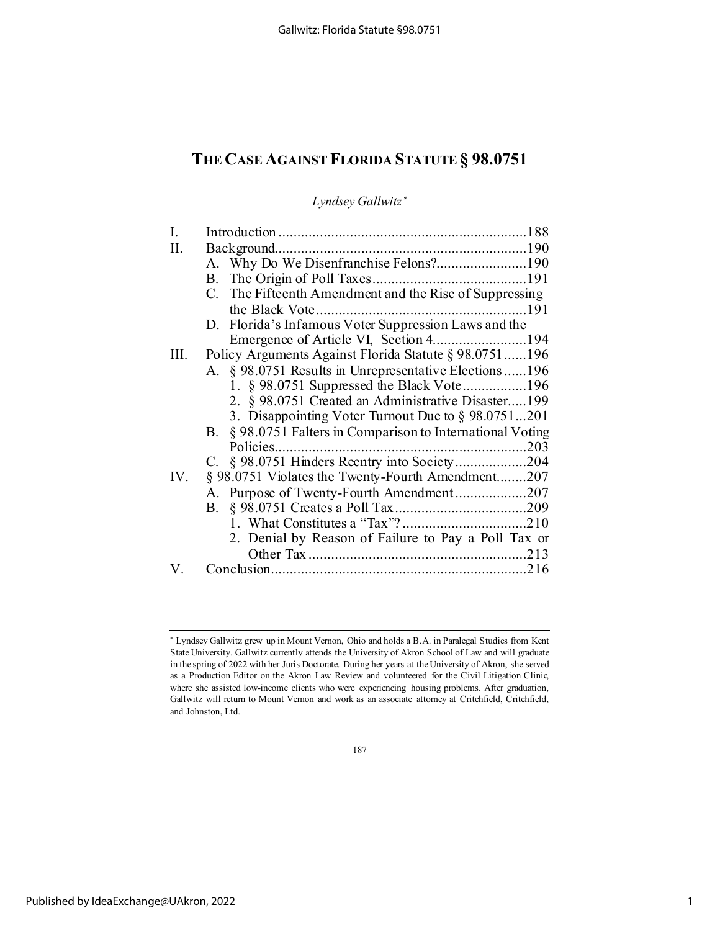# **THE CASE AGAINST FLORIDA STATUTE § 98.0751**

*Lyndsey Gallwitz*<sup>∗</sup>

| Π.  |                                                            |
|-----|------------------------------------------------------------|
|     |                                                            |
|     |                                                            |
|     | C. The Fifteenth Amendment and the Rise of Suppressing     |
|     |                                                            |
|     | D. Florida's Infamous Voter Suppression Laws and the       |
|     | Emergence of Article VI, Section 4194                      |
| Ш.  | Policy Arguments Against Florida Statute § 98.0751196      |
|     | A. § 98.0751 Results in Unrepresentative Elections 196     |
|     | 1. § 98.0751 Suppressed the Black Vote196                  |
|     | 2. § 98.0751 Created an Administrative Disaster199         |
|     | 3. Disappointing Voter Turnout Due to § 98.0751201         |
|     | B. § 98.0751 Falters in Comparison to International Voting |
|     |                                                            |
|     | C. § 98.0751 Hinders Reentry into Society204               |
| IV. | § 98.0751 Violates the Twenty-Fourth Amendment207          |
|     | A. Purpose of Twenty-Fourth Amendment207                   |
|     | B.                                                         |
|     |                                                            |
|     | 2. Denial by Reason of Failure to Pay a Poll Tax or        |
|     |                                                            |
| V.  |                                                            |

187

<sup>∗</sup> Lyndsey Gallwitz grew up in Mount Vernon, Ohio and holds a B.A. in Paralegal Studies from Kent State University. Gallwitz currently attends the University of Akron School of Law and will graduate in the spring of 2022 with her Juris Doctorate. During her years at the University of Akron, she served as a Production Editor on the Akron Law Review and volunteered for the Civil Litigation Clinic, where she assisted low-income clients who were experiencing housing problems. After graduation, Gallwitz will return to Mount Vernon and work as an associate attorney at Critchfield, Critchfield, and Johnston, Ltd.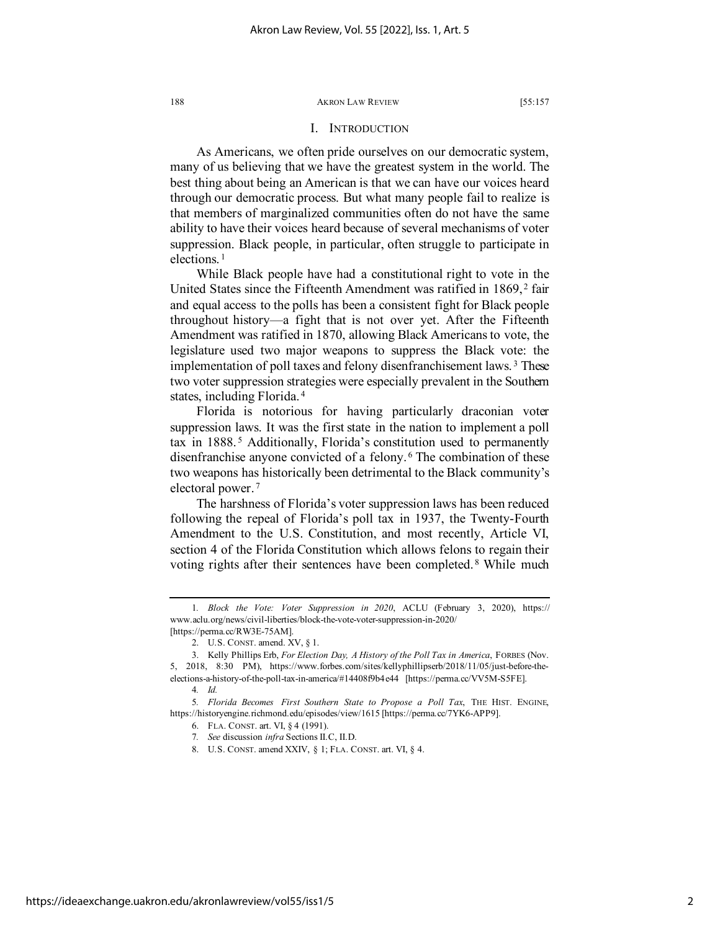## I. INTRODUCTION

As Americans, we often pride ourselves on our democratic system, many of us believing that we have the greatest system in the world. The best thing about being an American is that we can have our voices heard through our democratic process. But what many people fail to realize is that members of marginalized communities often do not have the same ability to have their voices heard because of several mechanisms of voter suppression. Black people, in particular, often struggle to participate in elections. [1](#page-2-0)

While Black people have had a constitutional right to vote in the United States since the Fifteenth Amendment was ratified in 1869,<sup>[2](#page-2-1)</sup> fair and equal access to the polls has been a consistent fight for Black people throughout history—a fight that is not over yet. After the Fifteenth Amendment was ratified in 1870, allowing Black Americans to vote, the legislature used two major weapons to suppress the Black vote: the implementation of poll taxes and felony disenfranchisement laws. [3](#page-2-2) These two voter suppression strategies were especially prevalent in the Southern states, including Florida. [4](#page-2-3)

Florida is notorious for having particularly draconian voter suppression laws. It was the first state in the nation to implement a poll tax in 1888. [5](#page-2-4) Additionally, Florida's constitution used to permanently disenfranchise anyone convicted of a felony. [6](#page-2-5) The combination of these two weapons has historically been detrimental to the Black community's electoral power. [7](#page-2-6)

The harshness of Florida's voter suppression laws has been reduced following the repeal of Florida's poll tax in 1937, the Twenty-Fourth Amendment to the U.S. Constitution, and most recently, Article VI, section 4 of the Florida Constitution which allows felons to regain their voting rights after their sentences have been completed.<sup>[8](#page-2-7)</sup> While much

<span id="page-2-0"></span><sup>1</sup>*. Block the Vote: Voter Suppression in 2020*, ACLU (February 3, 2020), https:// www.aclu.org/news/civil-liberties/block-the-vote-voter-suppression-in-2020/ [https://perma.cc/RW3E-75AM].

<sup>2.</sup> U.S. CONST. amend. XV, § 1.

<span id="page-2-2"></span><span id="page-2-1"></span><sup>3.</sup> Kelly Phillips Erb, *For Election Day, A History of the Poll Tax in America*, FORBES (Nov. 5, 2018, 8:30 PM), https://www.forbes.com/sites/kellyphillipserb/2018/11/05/just-before-theelections-a-history-of-the-poll-tax-in-america/#14408f9b4e44 [https://perma.cc/VV5M-S5FE].

<sup>4</sup>*. Id.*

<span id="page-2-7"></span><span id="page-2-6"></span><span id="page-2-5"></span><span id="page-2-4"></span><span id="page-2-3"></span><sup>5</sup>*. Florida Becomes First Southern State to Propose a Poll Tax*, THE HIST. ENGINE, https://historyengine.richmond.edu/episodes/view/1615 [https://perma.cc/7YK6-APP9].

<sup>6.</sup> FLA. CONST. art. VI, § 4 (1991).

<sup>7</sup>*. See* discussion *infra* Sections II.C, II.D.

<sup>8.</sup> U.S. CONST. amend XXIV, § 1; FLA. CONST. art. VI, § 4.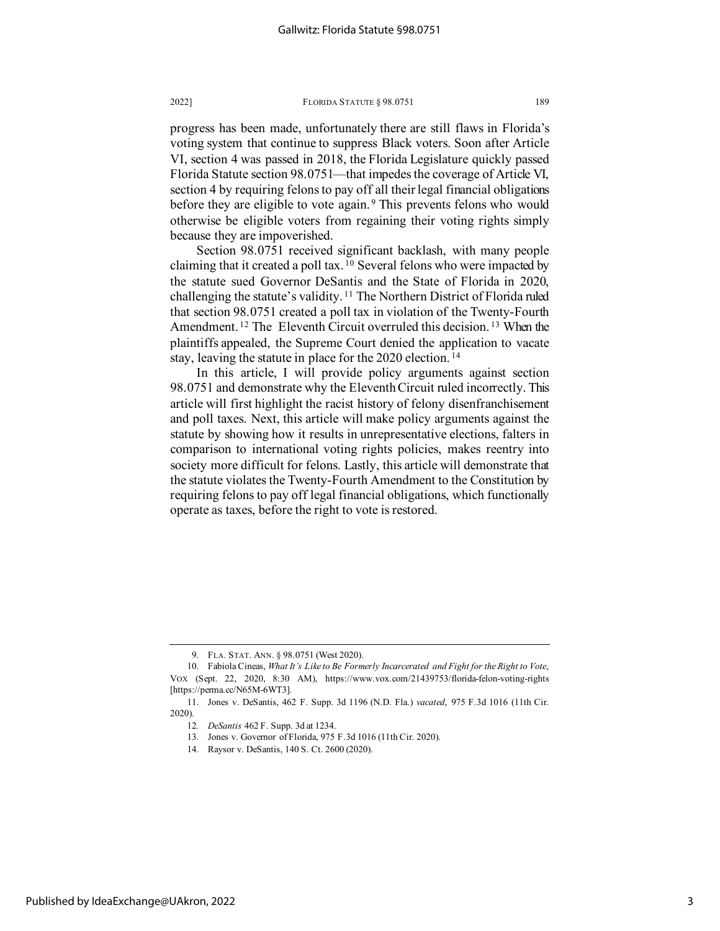progress has been made, unfortunately there are still flaws in Florida's voting system that continue to suppress Black voters. Soon after Article VI, section 4 was passed in 2018, the Florida Legislature quickly passed Florida Statute section 98.0751—that impedes the coverage of Article VI, section 4 by requiring felons to pay off all their legal financial obligations before they are eligible to vote again.<sup>[9](#page-3-0)</sup> This prevents felons who would otherwise be eligible voters from regaining their voting rights simply because they are impoverished.

Section 98.0751 received significant backlash, with many people claiming that it created a poll tax. [10](#page-3-1) Several felons who were impacted by the statute sued Governor DeSantis and the State of Florida in 2020, challenging the statute's validity. [11](#page-3-2) The Northern District of Florida ruled that section 98.0751 created a poll tax in violation of the Twenty-Fourth Amendment.<sup>[12](#page-3-3)</sup> The Eleventh Circuit overruled this decision.<sup>[13](#page-3-4)</sup> When the plaintiffs appealed, the Supreme Court denied the application to vacate stay, leaving the statute in place for the 2020 election. [14](#page-3-5)

In this article, I will provide policy arguments against section 98.0751 and demonstrate why the Eleventh Circuit ruled incorrectly. This article will first highlight the racist history of felony disenfranchisement and poll taxes. Next, this article will make policy arguments against the statute by showing how it results in unrepresentative elections, falters in comparison to international voting rights policies, makes reentry into society more difficult for felons. Lastly, this article will demonstrate that the statute violates the Twenty-Fourth Amendment to the Constitution by requiring felons to pay off legal financial obligations, which functionally operate as taxes, before the right to vote is restored.

<sup>9.</sup> FLA. STAT. ANN. § 98.0751 (West 2020).

<span id="page-3-1"></span><span id="page-3-0"></span><sup>10.</sup> Fabiola Cineas, *What It's Like to Be Formerly Incarcerated and Fight for the Right to Vote*, VOX (Sept. 22, 2020, 8:30 AM), https://www.vox.com/21439753/florida-felon-voting-rights [https://perma.cc/N65M-6WT3].

<span id="page-3-5"></span><span id="page-3-4"></span><span id="page-3-3"></span><span id="page-3-2"></span><sup>11.</sup> Jones v. DeSantis, 462 F. Supp. 3d 1196 (N.D. Fla.) *vacated*, 975 F.3d 1016 (11th Cir. 2020).

<sup>12</sup>*. DeSantis* 462 F. Supp. 3d at 1234.

<sup>13.</sup> Jones v. Governor of Florida, 975 F.3d 1016 (11th Cir. 2020).

<sup>14.</sup> Raysor v. DeSantis, 140 S. Ct. 2600 (2020).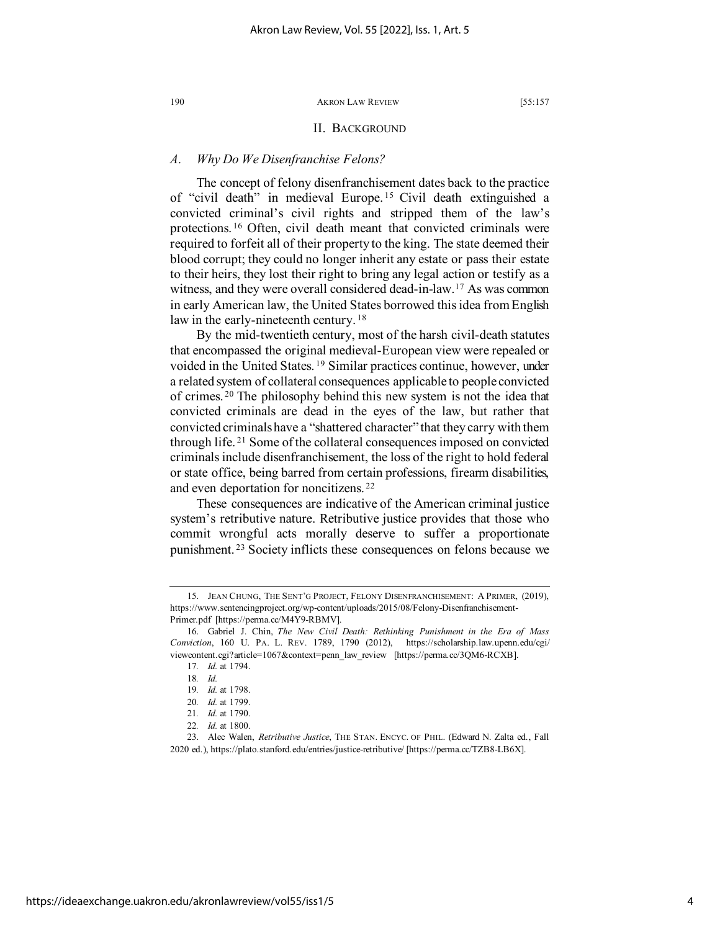## II. BACKGROUND

## *A. Why Do We Disenfranchise Felons?*

The concept of felony disenfranchisement dates back to the practice of "civil death" in medieval Europe. [15](#page-4-0) Civil death extinguished a convicted criminal's civil rights and stripped them of the law's protections. [16](#page-4-1) Often, civil death meant that convicted criminals were required to forfeit all of their property to the king. The state deemed their blood corrupt; they could no longer inherit any estate or pass their estate to their heirs, they lost their right to bring any legal action or testify as a witness, and they were overall considered dead-in-law.<sup>[17](#page-4-2)</sup> As was common in early American law, the United States borrowed this idea from English law in the early-nineteenth century.<sup>[18](#page-4-3)</sup>

By the mid-twentieth century, most of the harsh civil-death statutes that encompassed the original medieval-European view were repealed or voided in the United States. [19](#page-4-4) Similar practices continue, however, under a related system of collateral consequences applicable to people convicted of crimes. [20](#page-4-5) The philosophy behind this new system is not the idea that convicted criminals are dead in the eyes of the law, but rather that convicted criminals have a "shattered character" that they carry with them through life. [21](#page-4-6) Some of the collateral consequences imposed on convicted criminals include disenfranchisement, the loss of the right to hold federal or state office, being barred from certain professions, firearm disabilities, and even deportation for noncitizens. [22](#page-4-7)

These consequences are indicative of the American criminal justice system's retributive nature. Retributive justice provides that those who commit wrongful acts morally deserve to suffer a proportionate punishment. [23](#page-4-8) Society inflicts these consequences on felons because we

<span id="page-4-0"></span><sup>15.</sup> JEAN CHUNG, THE SENT'G PROJECT, FELONY DISENFRANCHISEMENT: A PRIMER, (2019), https://www.sentencingproject.org/wp-content/uploads/2015/08/Felony-Disenfranchisement-Primer.pdf [https://perma.cc/M4Y9-RBMV].

<span id="page-4-3"></span><span id="page-4-2"></span><span id="page-4-1"></span><sup>16.</sup> Gabriel J. Chin, *The New Civil Death: Rethinking Punishment in the Era of Mass Conviction*, 160 U. PA. L. REV. 1789, 1790 (2012), https://scholarship.law.upenn.edu/cgi/ viewcontent.cgi?article=1067&context=penn\_law\_review [https://perma.cc/3QM6-RCXB].

<sup>17</sup>*. Id.* at 1794. 18*. Id.*

<sup>19</sup>*. Id.* at 1798.

<sup>20</sup>*. Id.* at 1799.

<sup>21</sup>*. Id.* at 1790.

<sup>22</sup>*. Id.* at 1800.

<span id="page-4-8"></span><span id="page-4-7"></span><span id="page-4-6"></span><span id="page-4-5"></span><span id="page-4-4"></span><sup>23.</sup> Alec Walen, *Retributive Justice*, THE STAN. ENCYC. OF PHIL. (Edward N. Zalta ed., Fall 2020 ed.), https://plato.stanford.edu/entries/justice-retributive/ [https://perma.cc/TZB8-LB6X].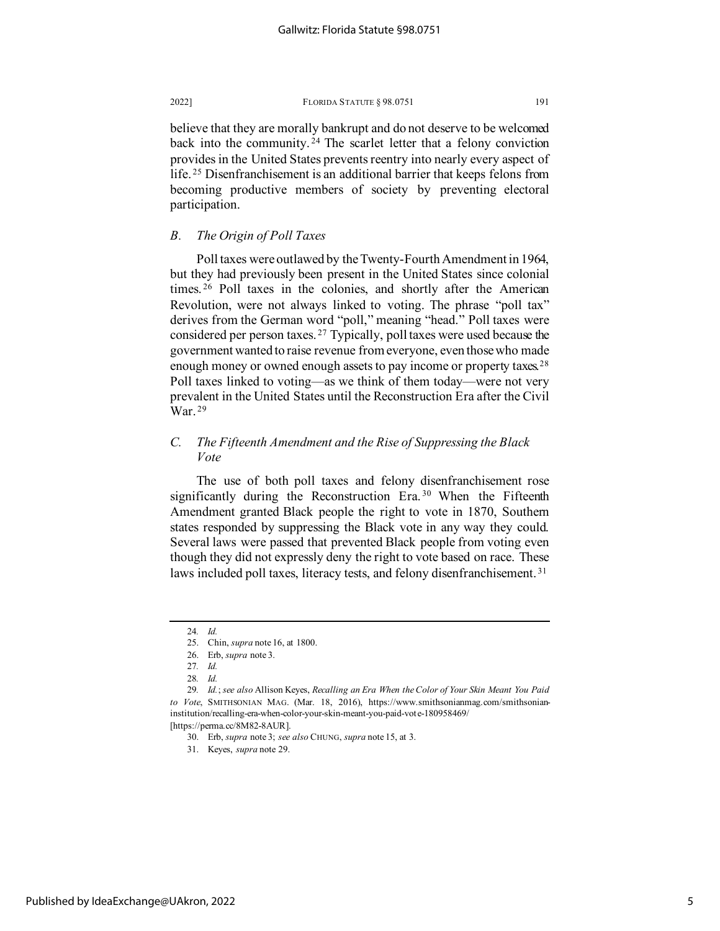believe that they are morally bankrupt and do not deserve to be welcomed back into the community. [24](#page-5-0) The scarlet letter that a felony conviction provides in the United States prevents reentry into nearly every aspect of life. [25](#page-5-1) Disenfranchisement is an additional barrier that keeps felons from becoming productive members of society by preventing electoral participation.

# *B. The Origin of Poll Taxes*

Poll taxes were outlawed by the Twenty-Fourth Amendment in 1964, but they had previously been present in the United States since colonial times. [26](#page-5-2) Poll taxes in the colonies, and shortly after the American Revolution, were not always linked to voting. The phrase "poll tax" derives from the German word "poll," meaning "head." Poll taxes were considered per person taxes. [27](#page-5-3) Typically, poll taxes were used because the government wanted to raise revenue from everyone, even those who made enough money or owned enough assets to pay income or property taxes.<sup>[28](#page-5-4)</sup> Poll taxes linked to voting—as we think of them today—were not very prevalent in the United States until the Reconstruction Era after the Civil War. [29](#page-5-5)

# *C. The Fifteenth Amendment and the Rise of Suppressing the Black Vote*

The use of both poll taxes and felony disenfranchisement rose significantly during the Reconstruction Era.<sup>[30](#page-5-6)</sup> When the Fifteenth Amendment granted Black people the right to vote in 1870, Southern states responded by suppressing the Black vote in any way they could. Several laws were passed that prevented Black people from voting even though they did not expressly deny the right to vote based on race. These laws included poll taxes, literacy tests, and felony disenfranchisement.<sup>[31](#page-5-7)</sup>

<sup>24</sup>*. Id.*

<sup>25.</sup> Chin, *supra* note 16, at 1800.

<sup>26.</sup> Erb, *supra* note 3.

<sup>27</sup>*. Id.*

<sup>28</sup>*. Id.*

<span id="page-5-7"></span><span id="page-5-6"></span><span id="page-5-5"></span><span id="page-5-4"></span><span id="page-5-3"></span><span id="page-5-2"></span><span id="page-5-1"></span><span id="page-5-0"></span><sup>29</sup>*. Id.*; *see also* Allison Keyes, *Recalling an Era When the Color of Your Skin Meant You Paid to Vote*, SMITHSONIAN MAG. (Mar. 18, 2016), https://www.smithsonianmag.com/smithsonianinstitution/recalling-era-when-color-your-skin-meant-you-paid-vote-180958469/ [https://perma.cc/8M82-8AUR].

<sup>30.</sup> Erb, *supra* note 3; *see also* CHUNG, *supra* note 15, at 3.

<sup>31.</sup> Keyes, *supra* note 29.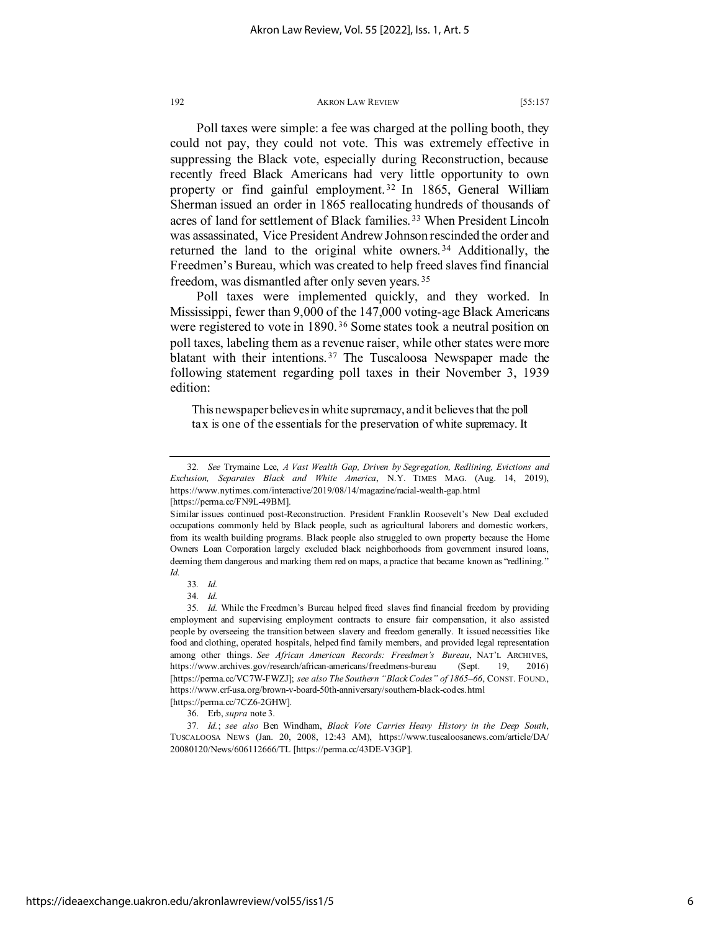Poll taxes were simple: a fee was charged at the polling booth, they could not pay, they could not vote. This was extremely effective in suppressing the Black vote, especially during Reconstruction, because recently freed Black Americans had very little opportunity to own property or find gainful employment.<sup>[32](#page-6-0)</sup> In 1865, General William Sherman issued an order in 1865 reallocating hundreds of thousands of acres of land for settlement of Black families. [33](#page-6-1) When President Lincoln was assassinated, Vice President Andrew Johnson rescinded the order and returned the land to the original white owners. [34](#page-6-2) Additionally, the Freedmen's Bureau, which was created to help freed slaves find financial freedom, was dismantled after only seven years. [35](#page-6-3)

Poll taxes were implemented quickly, and they worked. In Mississippi, fewer than 9,000 of the 147,000 voting-age Black Americans were registered to vote in 1890.<sup>[36](#page-6-4)</sup> Some states took a neutral position on poll taxes, labeling them as a revenue raiser, while other states were more blatant with their intentions. [37](#page-6-5) The Tuscaloosa Newspaper made the following statement regarding poll taxes in their November 3, 1939 edition:

This newspaper believes in white supremacy, and it believes that the poll tax is one of the essentials for the preservation of white supremacy. It

<span id="page-6-3"></span><span id="page-6-2"></span><span id="page-6-1"></span>35*. Id.* While the Freedmen's Bureau helped freed slaves find financial freedom by providing employment and supervising employment contracts to ensure fair compensation, it also assisted people by overseeing the transition between slavery and freedom generally. It issued necessities like food and clothing, operated hospitals, helped find family members, and provided legal representation among other things. *See African American Records: Freedmen's Bureau*, NAT'L ARCHIVES, https://www.archives.gov/research/african-americans/freedmens-bureau (Sept. 19, 2016) [https://perma.cc/VC7W-FWZJ]; *see also The Southern "Black Codes" of 1865–66*, CONST. FOUND., https://www.crf-usa.org/brown-v-board-50th-anniversary/southern-black-codes.html [https://perma.cc/7CZ6-2GHW].

<span id="page-6-0"></span><sup>32</sup>*. See* Trymaine Lee, *A Vast Wealth Gap, Driven by Segregation, Redlining, Evictions and Exclusion, Separates Black and White America*, N.Y. TIMES MAG. (Aug. 14, 2019), https://www.nytimes.com/interactive/2019/08/14/magazine/racial-wealth-gap.html [https://perma.cc/FN9L-49BM].

Similar issues continued post-Reconstruction. President Franklin Roosevelt's New Deal excluded occupations commonly held by Black people, such as agricultural laborers and domestic workers, from its wealth building programs. Black people also struggled to own property because the Home Owners Loan Corporation largely excluded black neighborhoods from government insured loans, deeming them dangerous and marking them red on maps, a practice that became known as "redlining." *Id.*

<sup>33</sup>*. Id.*

<sup>34</sup>*. Id.*

<sup>36.</sup> Erb, *supra* note 3.

<span id="page-6-5"></span><span id="page-6-4"></span><sup>37</sup>*. Id.*; *see also* Ben Windham, *Black Vote Carries Heavy History in the Deep South*, TUSCALOOSA NEWS (Jan. 20, 2008, 12:43 AM), https://www.tuscaloosanews.com/article/DA/ 20080120/News/606112666/TL [https://perma.cc/43DE-V3GP].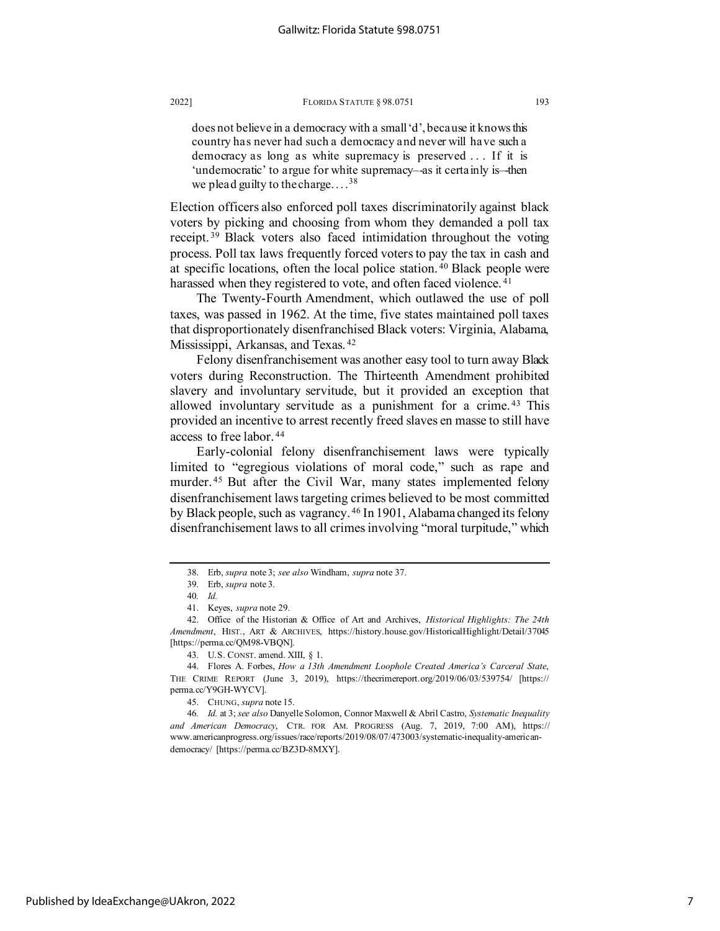does not believe in a democracy with a small 'd', because it knows this country has never had such a democracy and never will have such a democracy as long as white supremacy is preserved . . . If it is 'undemocratic' to argue for white supremacy–-as it certainly is–-then we plead guilty to the charge....<sup>[38](#page-7-0)</sup>

Election officers also enforced poll taxes discriminatorily against black voters by picking and choosing from whom they demanded a poll tax receipt. [39](#page-7-1) Black voters also faced intimidation throughout the voting process. Poll tax laws frequently forced voters to pay the tax in cash and at specific locations, often the local police station. [40](#page-7-2) Black people were harassed when they registered to vote, and often faced violence.<sup>[41](#page-7-3)</sup>

The Twenty-Fourth Amendment, which outlawed the use of poll taxes, was passed in 1962. At the time, five states maintained poll taxes that disproportionately disenfranchised Black voters: Virginia, Alabama, Mississippi, Arkansas, and Texas. [42](#page-7-4)

Felony disenfranchisement was another easy tool to turn away Black voters during Reconstruction. The Thirteenth Amendment prohibited slavery and involuntary servitude, but it provided an exception that allowed involuntary servitude as a punishment for a crime. [43](#page-7-5) This provided an incentive to arrest recently freed slaves en masse to still have access to free labor. [44](#page-7-6)

Early-colonial felony disenfranchisement laws were typically limited to "egregious violations of moral code," such as rape and murder. [45](#page-7-7) But after the Civil War, many states implemented felony disenfranchisement laws targeting crimes believed to be most committed by Black people, such as vagrancy. [46](#page-7-8) In 1901, Alabama changed its felony disenfranchisement laws to all crimes involving "moral turpitude," which

<sup>38.</sup> Erb, *supra* note 3; *see also* Windham, *supra* note 37.

<sup>39.</sup> Erb, *supra* note 3.

<sup>40</sup>*. Id.*

<sup>41.</sup> Keyes, *supra* note 29.

<span id="page-7-4"></span><span id="page-7-3"></span><span id="page-7-2"></span><span id="page-7-1"></span><span id="page-7-0"></span><sup>42.</sup> Office of the Historian & Office of Art and Archives, *Historical Highlights: The 24th Amendment*, HIST., ART & ARCHIVES, https://history.house.gov/HistoricalHighlight/Detail/37045 [https://perma.cc/QM98-VBQN].

<sup>43.</sup> U.S. CONST. amend. XIII, § 1.

<span id="page-7-6"></span><span id="page-7-5"></span><sup>44.</sup> Flores A. Forbes, *How a 13th Amendment Loophole Created America's Carceral State*, THE CRIME REPORT (June 3, 2019), https://thecrimereport.org/2019/06/03/539754/ [https:// perma.cc/Y9GH-WYCV].

<sup>45.</sup> CHUNG, *supra* note 15.

<span id="page-7-8"></span><span id="page-7-7"></span><sup>46</sup>*. Id.* at 3; *see also* Danyelle Solomon, Connor Maxwell & Abril Castro, *Systematic Inequality and American Democracy*, CTR. FOR AM. PROGRESS (Aug. 7, 2019, 7:00 AM), https:// www.americanprogress.org/issues/race/reports/2019/08/07/473003/systematic-inequality-americandemocracy/ [https://perma.cc/BZ3D-8MXY].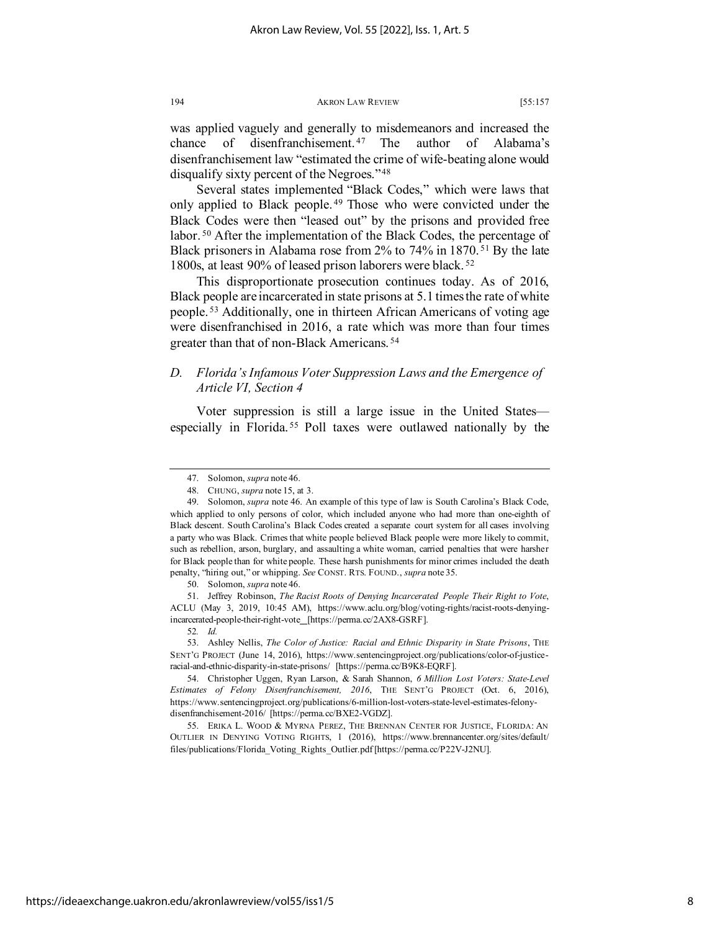was applied vaguely and generally to misdemeanors and increased the chance of disenfranchisement.<sup>[47](#page-8-0)</sup> The author of Alabama's disenfranchisement law "estimated the crime of wife-beating alone would disqualify sixty percent of the Negroes."[48](#page-8-1)

Several states implemented "Black Codes," which were laws that only applied to Black people.<sup>[49](#page-8-2)</sup> Those who were convicted under the Black Codes were then "leased out" by the prisons and provided free labor. [50](#page-8-3) After the implementation of the Black Codes, the percentage of Black prisoners in Alabama rose from 2% to 74% in 1870. [51](#page-8-4) By the late 1800s, at least 90% of leased prison laborers were black. [52](#page-8-5)

This disproportionate prosecution continues today. As of 2016, Black people are incarcerated in state prisons at 5.1 times the rate of white people. [53](#page-8-6) Additionally, one in thirteen African Americans of voting age were disenfranchised in 2016, a rate which was more than four times greater than that of non-Black Americans. [54](#page-8-7)

## *D. Florida's Infamous Voter Suppression Laws and the Emergence of Article VI, Section 4*

Voter suppression is still a large issue in the United States especially in Florida. [55](#page-8-8) Poll taxes were outlawed nationally by the

<sup>47.</sup> Solomon, *supra* note 46.

<sup>48.</sup> CHUNG, *supra* note 15, at 3.

<span id="page-8-2"></span><span id="page-8-1"></span><span id="page-8-0"></span><sup>49.</sup> Solomon, *supra* note 46. An example of this type of law is South Carolina's Black Code, which applied to only persons of color, which included anyone who had more than one-eighth of Black descent. South Carolina's Black Codes created a separate court system for all cases involving a party who was Black. Crimes that white people believed Black people were more likely to commit, such as rebellion, arson, burglary, and assaulting a white woman, carried penalties that were harsher for Black people than for white people. These harsh punishments for minor crimes included the death penalty, "hiring out," or whipping. *See* CONST. RTS. FOUND., *supra* note 35.

<sup>50.</sup> Solomon, *supra* note 46.

<span id="page-8-4"></span><span id="page-8-3"></span><sup>51.</sup> Jeffrey Robinson, *The Racist Roots of Denying Incarcerated People Their Right to Vote*, ACLU (May 3, 2019, 10:45 AM), https://www.aclu.org/blog/voting-rights/racist-roots-denyingincarcerated-people-their-right-vote [https://perma.cc/2AX8-GSRF].

<sup>52</sup>*. Id.*

<span id="page-8-6"></span><span id="page-8-5"></span><sup>53.</sup> Ashley Nellis, *The Color of Justice: Racial and Ethnic Disparity in State Prisons*, THE SENT'G PROJECT (June 14, 2016), [https://www.sentencingproject.org/publications/color-of-justice](https://www.sentencingproject.org/publications/color-of-justice-racial-and-ethnic-disparity-in-state-prisons/)[racial-and-ethnic-disparity-in-state-prisons/](https://www.sentencingproject.org/publications/color-of-justice-racial-and-ethnic-disparity-in-state-prisons/) [https://perma.cc/B9K8-EQRF].

<span id="page-8-7"></span><sup>54.</sup> Christopher Uggen, Ryan Larson, & Sarah Shannon, *6 Million Lost Voters: State-Level Estimates of Felony Disenfranchisement, 2016*, THE SENT'G PROJECT (Oct. 6, 2016), https://www.sentencingproject.org/publications/6-million-lost-voters-state-level-estimates-felonydisenfranchisement-2016/ [https://perma.cc/BXE2-VGDZ].

<span id="page-8-8"></span><sup>55.</sup> ERIKA L. WOOD & MYRNA PEREZ, THE BRENNAN CENTER FOR JUSTICE, FLORIDA: AN OUTLIER IN DENYING VOTING RIGHTS, 1 (2016), https://www.brennancenter.org/sites/default/ files/publications/Florida\_Voting\_Rights\_Outlier.pdf [https://perma.cc/P22V-J2NU].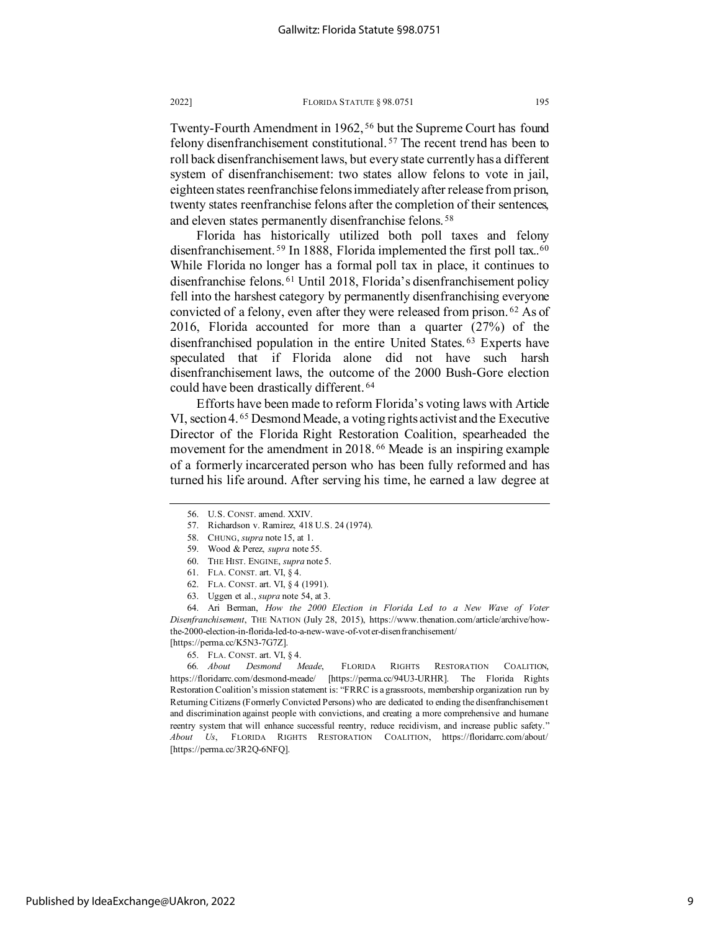Twenty-Fourth Amendment in 1962, [56](#page-9-0) but the Supreme Court has found felony disenfranchisement constitutional. [57](#page-9-1) The recent trend has been to roll back disenfranchisement laws, but every state currently has a different system of disenfranchisement: two states allow felons to vote in jail, eighteen states reenfranchise felons immediately after release from prison, twenty states reenfranchise felons after the completion of their sentences, and eleven states permanently disenfranchise felons. [58](#page-9-2)

Florida has historically utilized both poll taxes and felony disenfranchisement.<sup>[59](#page-9-3)</sup> In 1888, Florida implemented the first poll tax..<sup>[60](#page-9-4)</sup> While Florida no longer has a formal poll tax in place, it continues to disenfranchise felons. [61](#page-9-5) Until 2018, Florida's disenfranchisement policy fell into the harshest category by permanently disenfranchising everyone convicted of a felony, even after they were released from prison. [62](#page-9-6) As of 2016, Florida accounted for more than a quarter (27%) of the disenfranchised population in the entire United States. [63](#page-9-7) Experts have speculated that if Florida alone did not have such harsh disenfranchisement laws, the outcome of the 2000 Bush-Gore election could have been drastically different. [64](#page-9-8)

Efforts have been made to reform Florida's voting laws with Article VI, section 4. [65](#page-9-9) Desmond Meade, a voting rights activist and the Executive Director of the Florida Right Restoration Coalition, spearheaded the movement for the amendment in 2018. [66](#page-9-10) Meade is an inspiring example of a formerly incarcerated person who has been fully reformed and has turned his life around. After serving his time, he earned a law degree at

- <span id="page-9-1"></span><span id="page-9-0"></span>57. Richardson v. Ramirez, 418 U.S. 24 (1974).
- 58. CHUNG, *supra* note 15, at 1.
- 59. Wood & Perez, *supra* note 55.
- 60. THE HIST. ENGINE, *supra* note 5.
- 61. FLA. CONST. art. VI, § 4.
- 62. FLA. CONST. art. VI, § 4 (1991).
- 63. Uggen et al., *supra* note 54, at 3.

<span id="page-9-8"></span><span id="page-9-7"></span><span id="page-9-6"></span><span id="page-9-5"></span><span id="page-9-4"></span><span id="page-9-3"></span><span id="page-9-2"></span>64. Ari Berman, *How the 2000 Election in Florida Led to a New Wave of Voter Disenfranchisement*, THE NATION (July 28, 2015), https://www.thenation.com/article/archive/howthe-2000-election-in-florida-led-to-a-new-wave-of-voter-disenfranchisement/ [https://perma.cc/K5N3-7G7Z].

65. FLA. CONST. art. VI, § 4.

<span id="page-9-10"></span><span id="page-9-9"></span>66*. About Desmond Meade*, FLORIDA RIGHTS RESTORATION COALITION, https://floridarrc.com/desmond-meade/ [https://perma.cc/94U3-URHR]. The Florida Rights Restoration Coalition's mission statement is: "FRRC is a grassroots, membership organization run by Returning Citizens (Formerly Convicted Persons) who are dedicated to ending the disenfranchisement and discrimination against people with convictions, and creating a more comprehensive and humane reentry system that will enhance successful reentry, reduce recidivism, and increase public safety." *About Us*, FLORIDA RIGHTS RESTORATION COALITION, https://floridarrc.com/about/ [https://perma.cc/3R2Q-6NFQ].

<sup>56.</sup> U.S. CONST. amend. XXIV.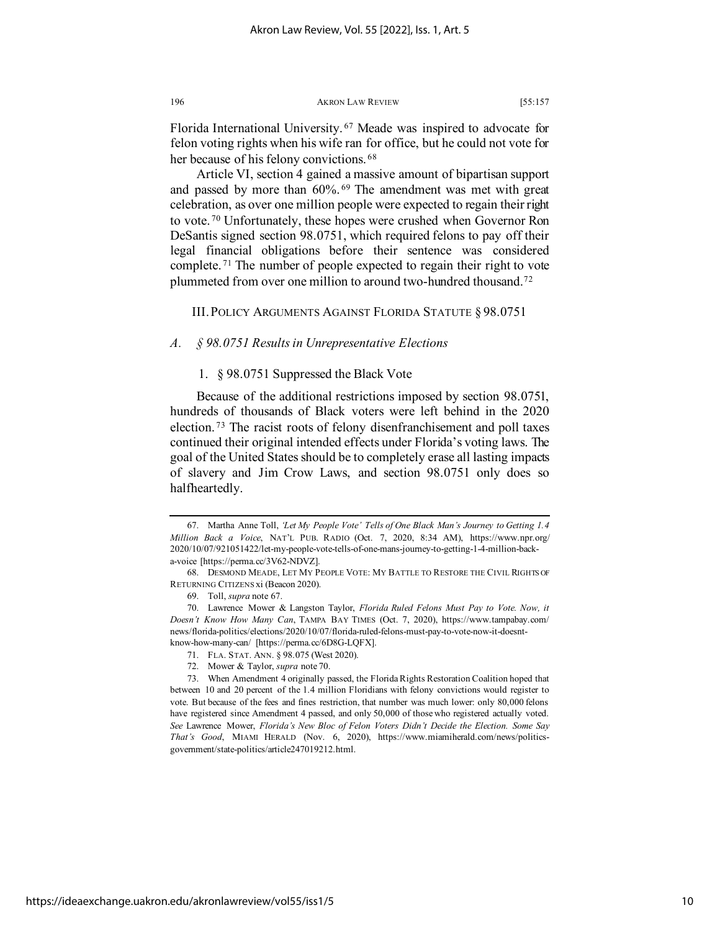Florida International University. [67](#page-10-0) Meade was inspired to advocate for felon voting rights when his wife ran for office, but he could not vote for her because of his felony convictions.<sup>[68](#page-10-1)</sup>

Article VI, section 4 gained a massive amount of bipartisan support and passed by more than 60%. [69](#page-10-2) The amendment was met with great celebration, as over one million people were expected to regain their right to vote. [70](#page-10-3) Unfortunately, these hopes were crushed when Governor Ron DeSantis signed section 98.0751, which required felons to pay off their legal financial obligations before their sentence was considered complete. [71](#page-10-4) The number of people expected to regain their right to vote plummeted from over one million to around two-hundred thousand.[72](#page-10-5)

III. POLICY ARGUMENTS AGAINST FLORIDA STATUTE § 98.0751

## *A. § 98.0751 Results in Unrepresentative Elections*

1. § 98.0751 Suppressed the Black Vote

Because of the additional restrictions imposed by section 98.0751, hundreds of thousands of Black voters were left behind in the 2020 election. [73](#page-10-6) The racist roots of felony disenfranchisement and poll taxes continued their original intended effects under Florida's voting laws. The goal of the United States should be to completely erase all lasting impacts of slavery and Jim Crow Laws, and section 98.0751 only does so halfheartedly.

https://ideaexchange.uakron.edu/akronlawreview/vol55/iss1/5

<span id="page-10-0"></span><sup>67.</sup> Martha Anne Toll, *'Let My People Vote' Tells of One Black Man's Journey to Getting 1.4 Million Back a Voice*, NAT'L PUB. RADIO (Oct. 7, 2020, 8:34 AM), https://www.npr.org/ 2020/10/07/921051422/let-my-people-vote-tells-of-one-mans-journey-to-getting-1-4-million-backa-voice [https://perma.cc/3V62-NDVZ].

<span id="page-10-1"></span><sup>68.</sup> DESMOND MEADE, LET MY PEOPLE VOTE: MY BATTLE TO RESTORE THE CIVIL RIGHTS OF RETURNING CITIZENS xi (Beacon 2020).

<sup>69.</sup> Toll, *supra* note 67.

<span id="page-10-3"></span><span id="page-10-2"></span><sup>70.</sup> Lawrence Mower & Langston Taylor, *Florida Ruled Felons Must Pay to Vote. Now, it Doesn't Know How Many Can*, TAMPA BAY TIMES (Oct. 7, 2020), https://www.tampabay.com/ news/florida-politics/elections/2020/10/07/florida-ruled-felons-must-pay-to-vote-now-it-doesntknow-how-many-can/ [https://perma.cc/6D8G-LQFX].

<sup>71.</sup> FLA. STAT. ANN. § 98.075 (West 2020).

<sup>72.</sup> Mower & Taylor, *supra* note 70.

<span id="page-10-6"></span><span id="page-10-5"></span><span id="page-10-4"></span><sup>73.</sup> When Amendment 4 originally passed, the Florida Rights Restoration Coalition hoped that between 10 and 20 percent of the 1.4 million Floridians with felony convictions would register to vote. But because of the fees and fines restriction, that number was much lower: only 80,000 felons have registered since Amendment 4 passed, and only 50,000 of those who registered actually voted. *See* Lawrence Mower, *Florida's New Bloc of Felon Voters Didn't Decide the Election. Some Say That's Good*, MIAMI HERALD (Nov. 6, 2020), https://www.miamiherald.com/news/politicsgovernment/state-politics/article247019212.html.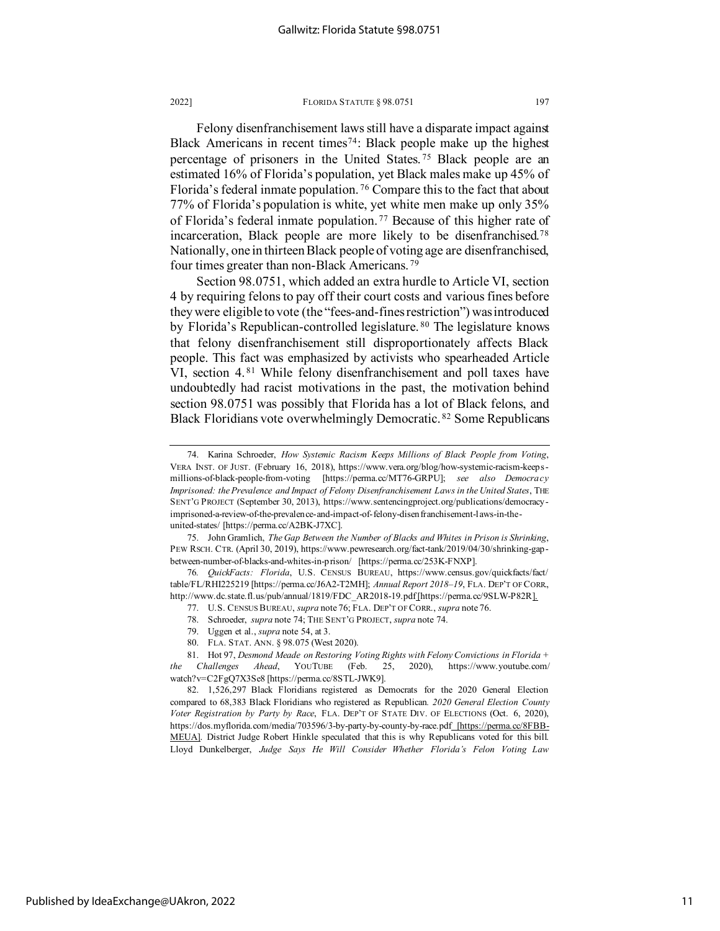Felony disenfranchisement laws still have a disparate impact against Black Americans in recent times<sup>[74](#page-11-0)</sup>: Black people make up the highest percentage of prisoners in the United States. [75](#page-11-1) Black people are an estimated 16% of Florida's population, yet Black males make up 45% of Florida's federal inmate population. [76](#page-11-2) Compare this to the fact that about 77% of Florida's population is white, yet white men make up only 35% of Florida's federal inmate population. [77](#page-11-3) Because of this higher rate of incarceration, Black people are more likely to be disenfranchised.[78](#page-11-4) Nationally, one in thirteen Black people of voting age are disenfranchised, four times greater than non-Black Americans. [79](#page-11-5)

Section 98.0751, which added an extra hurdle to Article VI, section 4 by requiring felons to pay off their court costs and various fines before they were eligible to vote (the "fees-and-fines restriction") was introduced by Florida's Republican-controlled legislature. [80](#page-11-6) The legislature knows that felony disenfranchisement still disproportionately affects Black people. This fact was emphasized by activists who spearheaded Article VI, section 4.<sup>[81](#page-11-7)</sup> While felony disenfranchisement and poll taxes have undoubtedly had racist motivations in the past, the motivation behind section 98.0751 was possibly that Florida has a lot of Black felons, and Black Floridians vote overwhelmingly Democratic. [82](#page-11-8) Some Republicans

<span id="page-11-0"></span><sup>74.</sup> Karina Schroeder, *How Systemic Racism Keeps Millions of Black People from Voting*, VERA INST. OF JUST. (February 16, 2018), https://www.vera.org/blog/how-systemic-racism-keepsmillions-of-black-people-from-voting [https://perma.cc/MT76-GRPU]; *see also Democracy Imprisoned: the Prevalence and Impact of Felony Disenfranchisement Laws in the United States*, THE SENT'G PROJECT (September 30, 2013), https://www.sentencingproject.org/publications/democracyimprisoned-a-review-of-the-prevalence-and-impact-of-felony-disenfranchisement-laws-in-theunited-states/ [https://perma.cc/A2BK-J7XC].

<span id="page-11-1"></span><sup>75.</sup> John Gramlich, *The Gap Between the Number of Blacks and Whites in Prison is Shrinking*, PEW RSCH. CTR. (April 30, 2019), https://www.pewresearch.org/fact-tank/2019/04/30/shrinking-gapbetween-number-of-blacks-and-whites-in-prison/ [https://perma.cc/253K-FNXP].

<span id="page-11-3"></span><span id="page-11-2"></span><sup>76</sup>*. QuickFacts: Florida*, U.S. CENSUS BUREAU, https://www.census.gov/quickfacts/fact/ table/FL/RHI225219 [https://perma.cc/J6A2-T2MH]; *Annual Report 2018–19*, FLA. DEP'T OF CORR., http://www.dc.state.fl.us/pub/annual/1819/FDC\_AR2018-19.pdf[https://perma.cc/9SLW-P82R].

<sup>77.</sup> U.S. CENSUS BUREAU, *supra* note 76; FLA. DEP'T OF CORR., *supra* note 76.

<sup>78.</sup> Schroeder, *supra* note 74; THE SENT'G PROJECT, *supra* note 74.

<sup>79.</sup> Uggen et al., *supra* note 54, at 3.

<sup>80.</sup> FLA. STAT. ANN. § 98.075 (West 2020).

<span id="page-11-7"></span><span id="page-11-6"></span><span id="page-11-5"></span><span id="page-11-4"></span><sup>81.</sup> Hot 97, *Desmond Meade on Restoring Voting Rights with Felony Convictions in Florida + the Challenges Ahead*, YOUTUBE (Feb. 25, 2020), https://www.youtube.com/ watch?v=C2FgQ7X3Se8 [https://perma.cc/8STL-JWK9].

<span id="page-11-8"></span><sup>82.</sup> 1,526,297 Black Floridians registered as Democrats for the 2020 General Election compared to 68,383 Black Floridians who registered as Republican*. 2020 General Election County Voter Registration by Party by Race*, FLA. DEP'T OF STATE DIV. OF ELECTIONS (Oct. 6, 2020), https://dos.myflorida.com/media/703596/3-by-party-by-county-by-race.pdf [https://perma.cc/8FBB-MEUA]. District Judge Robert Hinkle speculated that this is why Republicans voted for this bill. Lloyd Dunkelberger, *Judge Says He Will Consider Whether Florida's Felon Voting Law*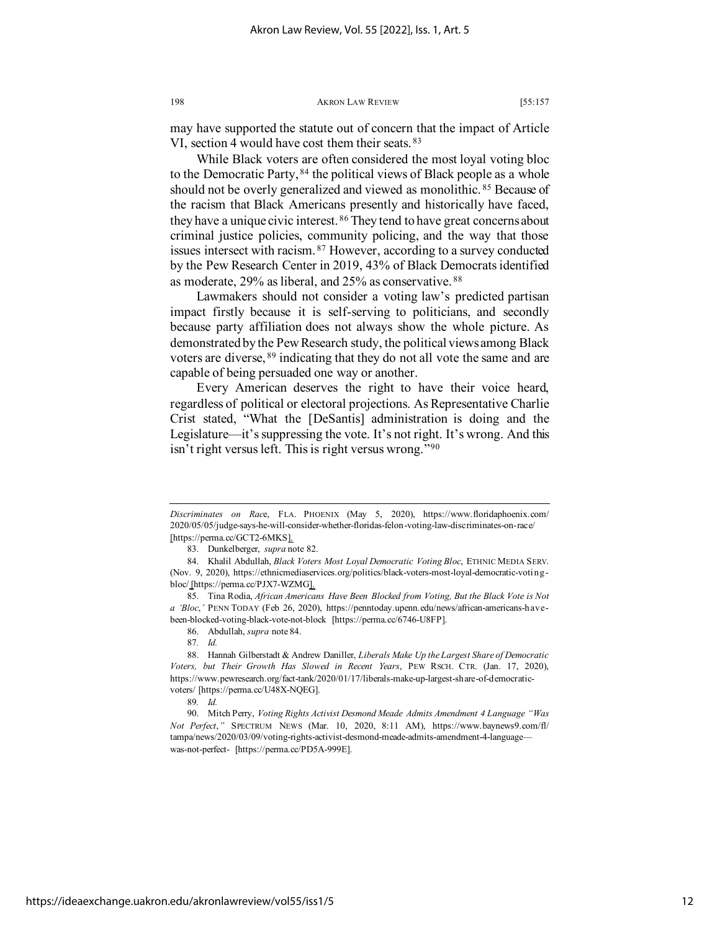may have supported the statute out of concern that the impact of Article VI, section 4 would have cost them their seats. <sup>[83](#page-12-0)</sup>

While Black voters are often considered the most loyal voting bloc to the Democratic Party, <sup>[84](#page-12-1)</sup> the political views of Black people as a whole should not be overly generalized and viewed as monolithic. [85](#page-12-2) Because of the racism that Black Americans presently and historically have faced, they have a unique civic interest. [86](#page-12-3) They tend to have great concerns about criminal justice policies, community policing, and the way that those issues intersect with racism. [87](#page-12-4) However, according to a survey conducted by the Pew Research Center in 2019, 43% of Black Democrats identified as moderate, 29% as liberal, and 25% as conservative. [88](#page-12-5)

Lawmakers should not consider a voting law's predicted partisan impact firstly because it is self-serving to politicians, and secondly because party affiliation does not always show the whole picture. As demonstrated by the Pew Research study, the political views among Black voters are diverse, [89](#page-12-6) indicating that they do not all vote the same and are capable of being persuaded one way or another.

Every American deserves the right to have their voice heard, regardless of political or electoral projections. As Representative Charlie Crist stated, "What the [DeSantis] administration is doing and the Legislature—it's suppressing the vote. It's not right. It's wrong. And this isn't right versus left. This is right versus wrong."[90](#page-12-7)

*Discriminates on Rac*e, FLA. PHOENIX (May 5, 2020), https://www.floridaphoenix.com/ 2020/05/05/judge-says-he-will-consider-whether-floridas-felon-voting-law-discriminates-on-race/ [https://perma.cc/GCT2-6MKS].

<sup>83.</sup> Dunkelberger, *supra* note 82.

<span id="page-12-1"></span><span id="page-12-0"></span><sup>84.</sup> Khalil Abdullah, *Black Voters Most Loyal Democratic Voting Bloc*, ETHNIC MEDIA SERV. (Nov. 9, 2020), https://ethnicmediaservices.org/politics/black-voters-most-loyal-democratic-votingbloc/ [https://perma.cc/PJX7-WZMG].

<span id="page-12-2"></span><sup>85.</sup> Tina Rodia, *African Americans Have Been Blocked from Voting, But the Black Vote is Not a 'Bloc*,*'* PENN TODAY (Feb 26, 2020), https://penntoday.upenn.edu/news/african-americans-havebeen-blocked-voting-black-vote-not-block [https://perma.cc/6746-U8FP].

<sup>86.</sup> Abdullah, *supra* note 84.

<sup>87</sup>*. Id.*

<span id="page-12-5"></span><span id="page-12-4"></span><span id="page-12-3"></span><sup>88.</sup> Hannah Gilberstadt & Andrew Daniller, *Liberals Make Up the Largest Share of Democratic Voters, but Their Growth Has Slowed in Recent Years*, PEW RSCH. CTR. (Jan. 17, 2020), https://www.pewresearch.org/fact-tank/2020/01/17/liberals-make-up-largest-share-of-democraticvoters/ [https://perma.cc/U48X-NQEG].

<sup>89</sup>*. Id.*

<span id="page-12-7"></span><span id="page-12-6"></span><sup>90.</sup> Mitch Perry, *Voting Rights Activist Desmond Meade Admits Amendment 4 Language "Was Not Perfect*,*"* SPECTRUM NEWS (Mar. 10, 2020, 8:11 AM), https://www.baynews9.com/fl/ tampa/news/2020/03/09/voting-rights-activist-desmond-meade-admits-amendment-4-language was-not-perfect- [https://perma.cc/PD5A-999E].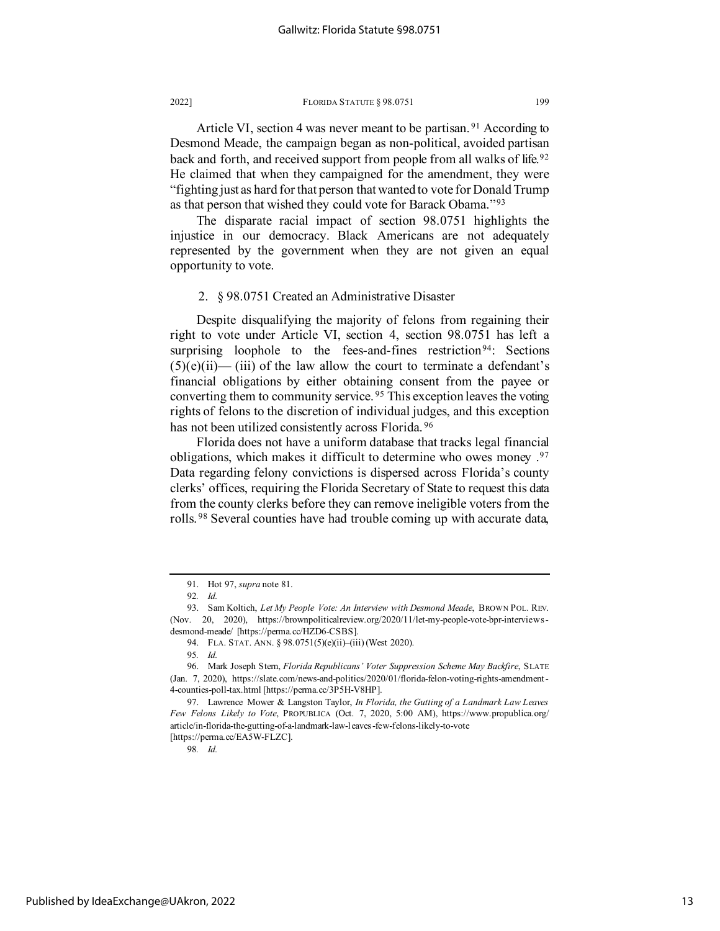Article VI, section 4 was never meant to be partisan. [91](#page-13-0) According to Desmond Meade, the campaign began as non-political, avoided partisan back and forth, and received support from people from all walks of life.<sup>[92](#page-13-1)</sup> He claimed that when they campaigned for the amendment, they were "fighting just as hard for that person that wanted to vote for Donald Trump as that person that wished they could vote for Barack Obama."[93](#page-13-2)

The disparate racial impact of section 98.0751 highlights the injustice in our democracy. Black Americans are not adequately represented by the government when they are not given an equal opportunity to vote.

## 2. § 98.0751 Created an Administrative Disaster

Despite disqualifying the majority of felons from regaining their right to vote under Article VI, section 4, section 98.0751 has left a surprising loophole to the fees-and-fines restriction<sup>[94](#page-13-3)</sup>: Sections  $(5)(e)(ii)$ — (iii) of the law allow the court to terminate a defendant's financial obligations by either obtaining consent from the payee or converting them to community service. [95](#page-13-4) This exception leaves the voting rights of felons to the discretion of individual judges, and this exception has not been utilized consistently across Florida. [96](#page-13-5)

Florida does not have a uniform database that tracks legal financial obligations, which makes it difficult to determine who owes money .[97](#page-13-6) Data regarding felony convictions is dispersed across Florida's county clerks' offices, requiring the Florida Secretary of State to request this data from the county clerks before they can remove ineligible voters from the rolls. [98](#page-13-7) Several counties have had trouble coming up with accurate data,

98*. Id.*

<sup>91.</sup> Hot 97, *supra* note 81.

<sup>92</sup>*. Id.*

<span id="page-13-2"></span><span id="page-13-1"></span><span id="page-13-0"></span><sup>93.</sup> Sam Koltich, *Let My People Vote: An Interview with Desmond Meade*, BROWN POL. REV. (Nov. 20, 2020), https://brownpoliticalreview.org/2020/11/let-my-people-vote-bpr-interviewsdesmond-meade/ [https://perma.cc/HZD6-CSBS].

<sup>94.</sup> FLA. STAT. ANN. § 98.0751(5)(e)(ii)–(iii) (West 2020).

<sup>95</sup>*. Id.*

<span id="page-13-5"></span><span id="page-13-4"></span><span id="page-13-3"></span><sup>96.</sup> Mark Joseph Stern, *Florida Republicans' Voter Suppression Scheme May Backfire*, SLATE (Jan. 7, 2020), https://slate.com/news-and-politics/2020/01/florida-felon-voting-rights-amendment-4-counties-poll-tax.html [https://perma.cc/3P5H-V8HP].

<span id="page-13-7"></span><span id="page-13-6"></span><sup>97.</sup> Lawrence Mower & Langston Taylor, *In Florida, the Gutting of a Landmark Law Leaves Few Felons Likely to Vote*, PROPUBLICA (Oct. 7, 2020, 5:00 AM), https://www.propublica.org/ article/in-florida-the-gutting-of-a-landmark-law-leaves-few-felons-likely-to-vote [https://perma.cc/EA5W-FLZC].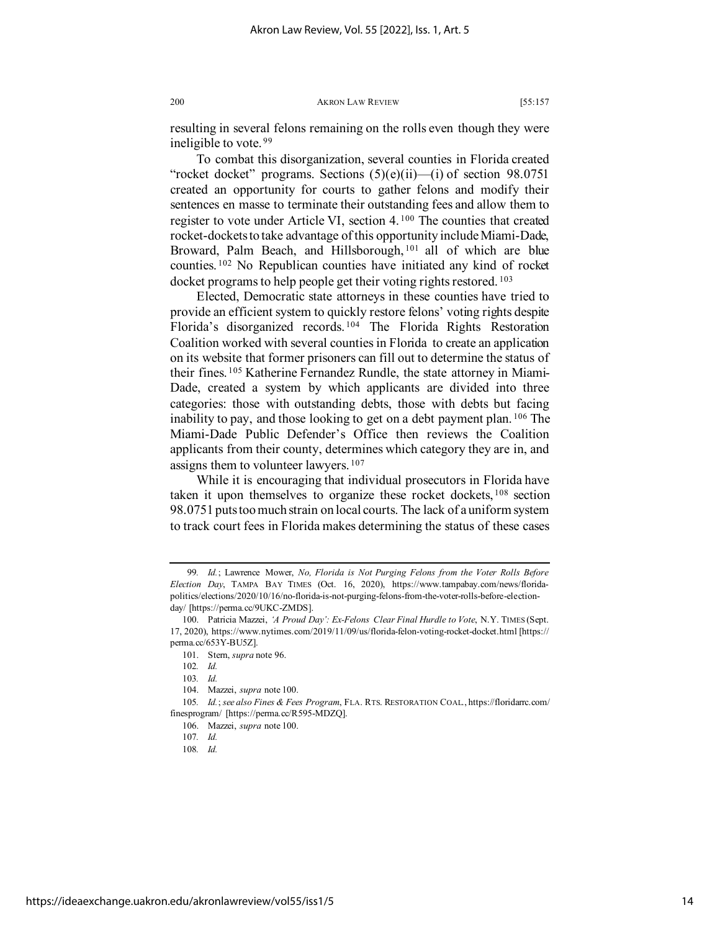resulting in several felons remaining on the rolls even though they were ineligible to vote. [99](#page-14-0)

To combat this disorganization, several counties in Florida created "rocket docket" programs. Sections  $(5)(e)(ii)$ —(i) of section 98.0751 created an opportunity for courts to gather felons and modify their sentences en masse to terminate their outstanding fees and allow them to register to vote under Article VI, section 4. [100](#page-14-1) The counties that created rocket-dockets to take advantage of this opportunity include Miami-Dade, Broward, Palm Beach, and Hillsborough, <sup>[101](#page-14-2)</sup> all of which are blue counties. [102](#page-14-3) No Republican counties have initiated any kind of rocket docket programs to help people get their voting rights restored.<sup>[103](#page-14-4)</sup>

Elected, Democratic state attorneys in these counties have tried to provide an efficient system to quickly restore felons' voting rights despite Florida's disorganized records. [104](#page-14-5) The Florida Rights Restoration Coalition worked with several counties in Florida to create an application on its website that former prisoners can fill out to determine the status of their fines. [105](#page-14-6) Katherine Fernandez Rundle, the state attorney in Miami-Dade, created a system by which applicants are divided into three categories: those with outstanding debts, those with debts but facing inability to pay, and those looking to get on a debt payment plan. [106](#page-14-7) The Miami-Dade Public Defender's Office then reviews the Coalition applicants from their county, determines which category they are in, and assigns them to volunteer lawyers.<sup>[107](#page-14-8)</sup>

While it is encouraging that individual prosecutors in Florida have taken it upon themselves to organize these rocket dockets, [108](#page-14-9) section 98.0751 puts too much strain on local courts. The lack of a uniform system to track court fees in Florida makes determining the status of these cases

<span id="page-14-0"></span><sup>99</sup>*. Id.*; Lawrence Mower, *No, Florida is Not Purging Felons from the Voter Rolls Before Election Day*, TAMPA BAY TIMES (Oct. 16, 2020), https://www.tampabay.com/news/floridapolitics/elections/2020/10/16/no-florida-is-not-purging-felons-from-the-voter-rolls-before-electionday/ [https://perma.cc/9UKC-ZMDS].

<span id="page-14-2"></span><span id="page-14-1"></span><sup>100.</sup> Patricia Mazzei, *'A Proud Day': Ex-Felons Clear Final Hurdle to Vote*, N.Y. TIMES (Sept. 17, 2020), https://www.nytimes.com/2019/11/09/us/florida-felon-voting-rocket-docket.html [https:// perma.cc/653Y-BU5Z].

<sup>101.</sup> Stern, *supra* note 96.

<sup>102</sup>*. Id.*

<sup>103</sup>*. Id.*

<sup>104.</sup> Mazzei, *supra* note 100.

<span id="page-14-9"></span><span id="page-14-8"></span><span id="page-14-7"></span><span id="page-14-6"></span><span id="page-14-5"></span><span id="page-14-4"></span><span id="page-14-3"></span><sup>105</sup>*. Id.*; *see also Fines & Fees Program*, FLA. RTS. RESTORATION COAL., https://floridarrc.com/ finesprogram/ [https://perma.cc/R595-MDZQ].

<sup>106.</sup> Mazzei, *supra* note 100.

<sup>107</sup>*. Id.*

<sup>108</sup>*. Id.*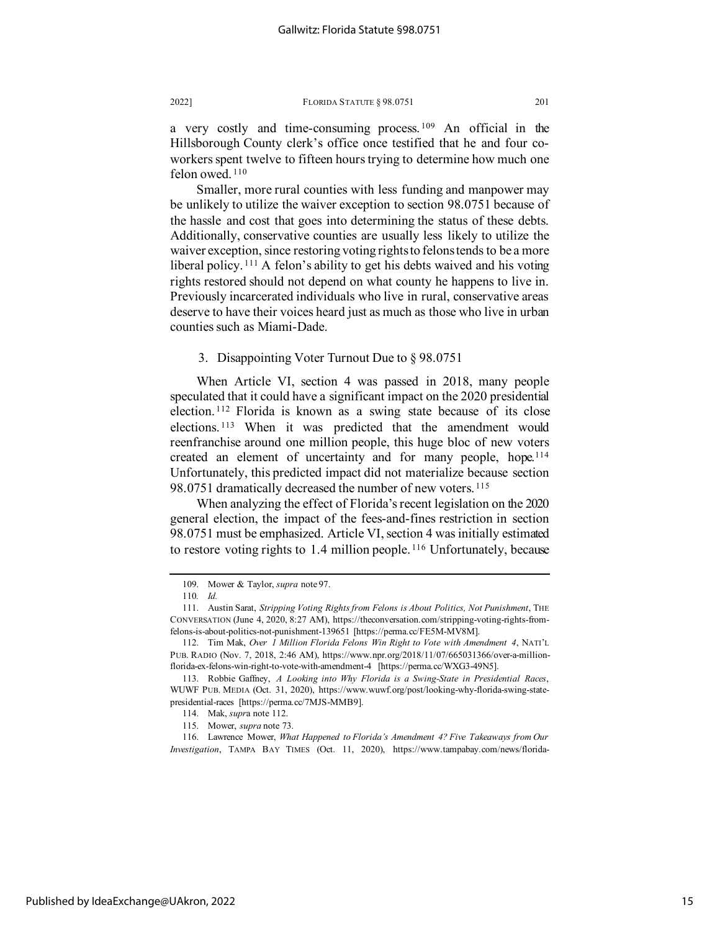a very costly and time-consuming process.  $109$  An official in the Hillsborough County clerk's office once testified that he and four coworkers spent twelve to fifteen hours trying to determine how much one felon owed.<sup>[110](#page-15-1)</sup>

Smaller, more rural counties with less funding and manpower may be unlikely to utilize the waiver exception to section 98.0751 because of the hassle and cost that goes into determining the status of these debts. Additionally, conservative counties are usually less likely to utilize the waiver exception, since restoring voting rights to felons tends to be a more liberal policy.<sup>[111](#page-15-2)</sup> A felon's ability to get his debts waived and his voting rights restored should not depend on what county he happens to live in. Previously incarcerated individuals who live in rural, conservative areas deserve to have their voices heard just as much as those who live in urban counties such as Miami-Dade.

## 3. Disappointing Voter Turnout Due to § 98.0751

When Article VI, section 4 was passed in 2018, many people speculated that it could have a significant impact on the 2020 presidential election. [112](#page-15-3) Florida is known as a swing state because of its close elections. [113](#page-15-4) When it was predicted that the amendment would reenfranchise around one million people, this huge bloc of new voters created an element of uncertainty and for many people, hope.[114](#page-15-5) Unfortunately, this predicted impact did not materialize because section 98.0751 dramatically decreased the number of new voters.<sup>[115](#page-15-6)</sup>

When analyzing the effect of Florida's recent legislation on the 2020 general election, the impact of the fees-and-fines restriction in section 98.0751 must be emphasized. Article VI, section 4 was initially estimated to restore voting rights to 1.4 million people.<sup>[116](#page-15-7)</sup> Unfortunately, because

<sup>109.</sup> Mower & Taylor, *supra* note 97.

<sup>110</sup>*. Id.*

<span id="page-15-2"></span><span id="page-15-1"></span><span id="page-15-0"></span><sup>111.</sup> Austin Sarat, *Stripping Voting Rights from Felons is About Politics, Not Punishment*, THE CONVERSATION (June 4, 2020, 8:27 AM), https://theconversation.com/stripping-voting-rights-fromfelons-is-about-politics-not-punishment-139651 [https://perma.cc/FE5M-MV8M].

<span id="page-15-3"></span><sup>112.</sup> Tim Mak, *Over 1 Million Florida Felons Win Right to Vote with Amendment 4*, NATI'L PUB. RADIO (Nov. 7, 2018, 2:46 AM), https://www.npr.org/2018/11/07/665031366/over-a-millionflorida-ex-felons-win-right-to-vote-with-amendment-4 [https://perma.cc/WXG3-49N5].

<span id="page-15-4"></span><sup>113.</sup> Robbie Gaffney, *A Looking into Why Florida is a Swing-State in Presidential Races*, WUWF PUB. MEDIA (Oct. 31, 2020), https://www.wuwf.org/post/looking-why-florida-swing-statepresidential-races [https://perma.cc/7MJS-MMB9].

<sup>114.</sup> Mak, *supr*a note 112.

<sup>115.</sup> Mower, *supra* note 73.

<span id="page-15-7"></span><span id="page-15-6"></span><span id="page-15-5"></span><sup>116.</sup> Lawrence Mower, *What Happened to Florida's Amendment 4? Five Takeaways from Our Investigation*, TAMPA BAY TIMES (Oct. 11, 2020), https://www.tampabay.com/news/florida-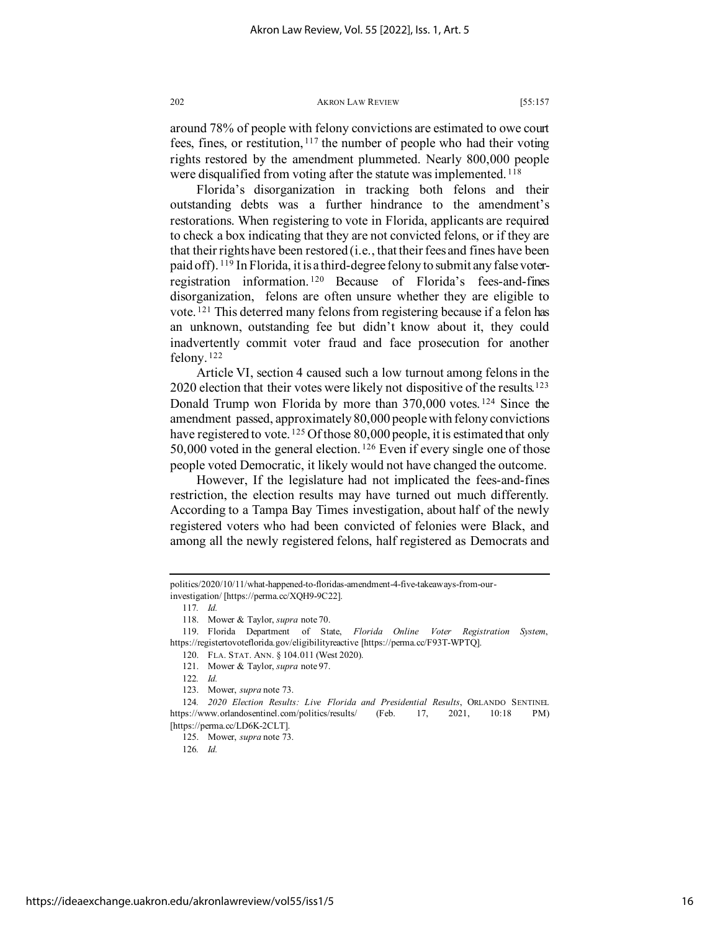around 78% of people with felony convictions are estimated to owe court fees, fines, or restitution, [117](#page-16-0) the number of people who had their voting rights restored by the amendment plummeted. Nearly 800,000 people were disqualified from voting after the statute was implemented.<sup>[118](#page-16-1)</sup>

Florida's disorganization in tracking both felons and their outstanding debts was a further hindrance to the amendment's restorations. When registering to vote in Florida, applicants are required to check a box indicating that they are not convicted felons, or if they are that their rights have been restored (i.e., that their fees and fines have been paid off). [119](#page-16-2) In Florida, it is a third-degree felony to submit any false voterregistration information. [120](#page-16-3) Because of Florida's fees-and-fines disorganization, felons are often unsure whether they are eligible to vote. [121](#page-16-4) This deterred many felons from registering because if a felon has an unknown, outstanding fee but didn't know about it, they could inadvertently commit voter fraud and face prosecution for another felony. [122](#page-16-5)

Article VI, section 4 caused such a low turnout among felons in the  $2020$  election that their votes were likely not dispositive of the results.<sup>[123](#page-16-6)</sup> Donald Trump won Florida by more than 370,000 votes.<sup>[124](#page-16-7)</sup> Since the amendment passed, approximately 80,000 people with felony convictions have registered to vote. [125](#page-16-8) Of those 80,000 people, it is estimated that only 50,000 voted in the general election. [126](#page-16-9) Even if every single one of those people voted Democratic, it likely would not have changed the outcome.

However, If the legislature had not implicated the fees-and-fines restriction, the election results may have turned out much differently. According to a Tampa Bay Times investigation, about half of the newly registered voters who had been convicted of felonies were Black, and among all the newly registered felons, half registered as Democrats and

<span id="page-16-0"></span>politics/2020/10/11/what-happened-to-floridas-amendment-4-five-takeaways-from-ourinvestigation/ [https://perma.cc/XQH9-9C22].

<sup>117</sup>*. Id.*

<sup>118.</sup> Mower & Taylor, *supra* note 70.

<span id="page-16-3"></span><span id="page-16-2"></span><span id="page-16-1"></span><sup>119.</sup> Florida Department of State, *Florida Online Voter Registration System*, https://registertovoteflorida.gov/eligibilityreactive [https://perma.cc/F93T-WPTQ].

<sup>120.</sup> FLA. STAT. ANN. § 104.011 (West 2020). 121. Mower & Taylor, *supra* note 97.

<sup>122</sup>*. Id.*

<sup>123.</sup> Mower, *supra* note 73.

<span id="page-16-9"></span><span id="page-16-8"></span><span id="page-16-7"></span><span id="page-16-6"></span><span id="page-16-5"></span><span id="page-16-4"></span><sup>124</sup>*. 2020 Election Results: Live Florida and Presidential Results*, ORLANDO SENTINEL https://www.orlandosentinel.com/politics/results/ (Feb. 17, 2021, 10:18 PM) [https://perma.cc/LD6K-2CLT].

<sup>125.</sup> Mower, *supra* note 73.

<sup>126</sup>*. Id.*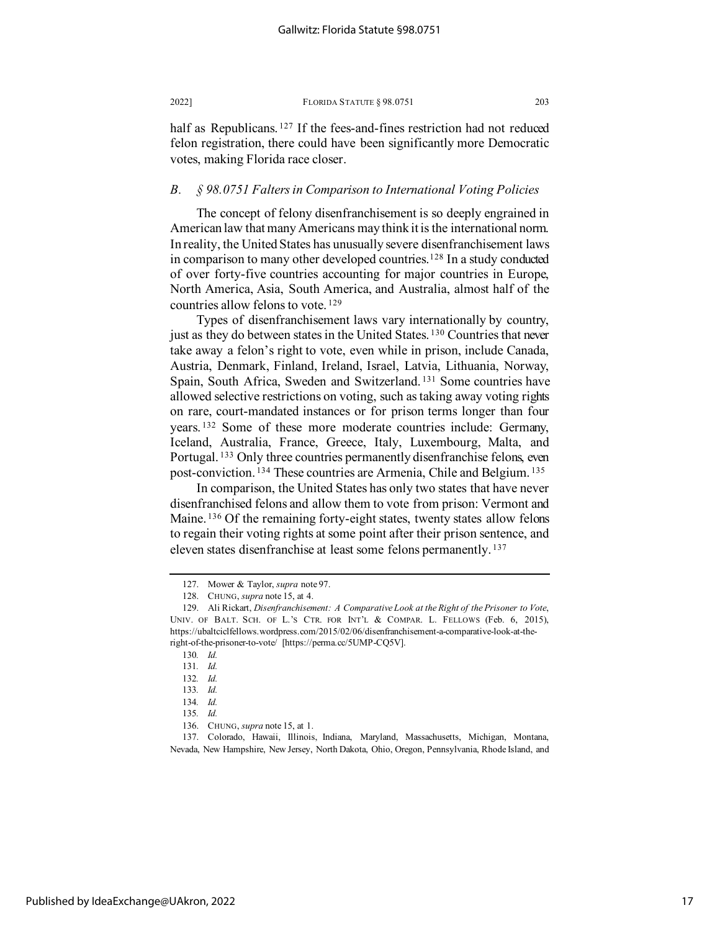half as Republicans.<sup>[127](#page-17-0)</sup> If the fees-and-fines restriction had not reduced felon registration, there could have been significantly more Democratic votes, making Florida race closer.

## *B. § 98.0751 Falters in Comparison to International Voting Policies*

The concept of felony disenfranchisement is so deeply engrained in American law that many Americans may think it is the international norm. In reality, the United States has unusually severe disenfranchisement laws in comparison to many other developed countries.[128](#page-17-1) In a study conducted of over forty-five countries accounting for major countries in Europe, North America, Asia, South America, and Australia, almost half of the countries allow felons to vote. [129](#page-17-2)

Types of disenfranchisement laws vary internationally by country, just as they do between states in the United States. [130](#page-17-3) Countries that never take away a felon's right to vote, even while in prison, include Canada, Austria, Denmark, Finland, Ireland, Israel, Latvia, Lithuania, Norway, Spain, South Africa, Sweden and Switzerland. [131](#page-17-4) Some countries have allowed selective restrictions on voting, such as taking away voting rights on rare, court-mandated instances or for prison terms longer than four years. [132](#page-17-5) Some of these more moderate countries include: Germany, Iceland, Australia, France, Greece, Italy, Luxembourg, Malta, and Portugal. [133](#page-17-6) Only three countries permanently disenfranchise felons, even post-conviction. [134](#page-17-7) These countries are Armenia, Chile and Belgium. [135](#page-17-8)

In comparison, the United States has only two states that have never disenfranchised felons and allow them to vote from prison: Vermont and Maine. <sup>[136](#page-17-9)</sup> Of the remaining forty-eight states, twenty states allow felons to regain their voting rights at some point after their prison sentence, and eleven states disenfranchise at least some felons permanently. [137](#page-17-10)

<span id="page-17-8"></span><span id="page-17-7"></span><span id="page-17-6"></span><span id="page-17-5"></span><span id="page-17-4"></span><span id="page-17-3"></span><span id="page-17-2"></span><span id="page-17-1"></span><span id="page-17-0"></span>

<sup>127.</sup> Mower & Taylor, *supra* note 97.

<sup>128.</sup> CHUNG, *supra* note 15, at 4.

<sup>129.</sup> Ali Rickart, *Disenfranchisement: A Comparative Look at the Right of the Prisoner to Vote*, UNIV. OF BALT. SCH. OF L.'S CTR. FOR INT'L & COMPAR. L. FELLOWS (Feb. 6, 2015), https://ubaltciclfellows.wordpress.com/2015/02/06/disenfranchisement-a-comparative-look-at-theright-of-the-prisoner-to-vote/ [https://perma.cc/5UMP-CQ5V].

<sup>130</sup>*. Id.*

<sup>131</sup>*. Id.*

<sup>132</sup>*. Id.*

<sup>133</sup>*. Id.*

<sup>134</sup>*. Id.*

<sup>135</sup>*. Id.*

<sup>136.</sup> CHUNG, *supra* note 15, at 1.

<span id="page-17-10"></span><span id="page-17-9"></span><sup>137.</sup> Colorado, Hawaii, Illinois, Indiana, Maryland, Massachusetts, Michigan, Montana, Nevada, New Hampshire, New Jersey, North Dakota, Ohio, Oregon, Pennsylvania, Rhode Island, and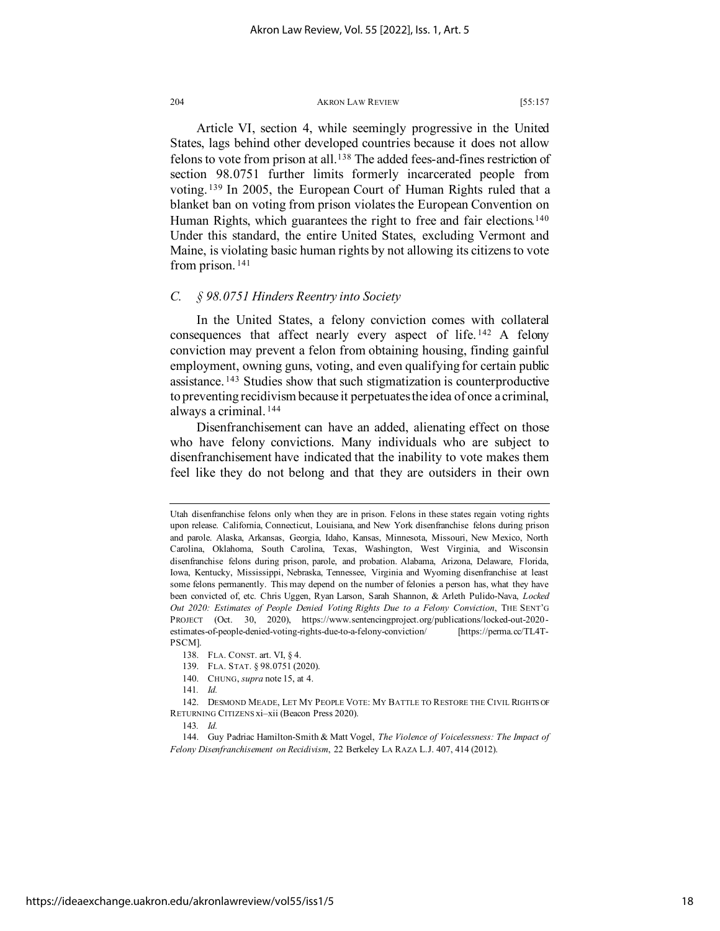Article VI, section 4, while seemingly progressive in the United States, lags behind other developed countries because it does not allow felons to vote from prison at all.[138](#page-18-0) The added fees-and-fines restriction of section 98.0751 further limits formerly incarcerated people from voting. [139](#page-18-1) In 2005, the European Court of Human Rights ruled that a blanket ban on voting from prison violates the European Convention on Human Rights, which guarantees the right to free and fair elections.<sup>[140](#page-18-2)</sup> Under this standard, the entire United States, excluding Vermont and Maine, is violating basic human rights by not allowing its citizens to vote from prison. [141](#page-18-3)

# *C. § 98.0751 Hinders Reentry into Society*

In the United States, a felony conviction comes with collateral consequences that affect nearly every aspect of life. [142](#page-18-4) A felony conviction may prevent a felon from obtaining housing, finding gainful employment, owning guns, voting, and even qualifying for certain public assistance. [143](#page-18-5) Studies show that such stigmatization is counterproductive to preventing recidivism because it perpetuates the idea of once a criminal, always a criminal. [144](#page-18-6)

Disenfranchisement can have an added, alienating effect on those who have felony convictions. Many individuals who are subject to disenfranchisement have indicated that the inability to vote makes them feel like they do not belong and that they are outsiders in their own

140. CHUNG, *supra* note 15, at 4.

Utah disenfranchise felons only when they are in prison. Felons in these states regain voting rights upon release. California, Connecticut, Louisiana, and New York disenfranchise felons during prison and parole. Alaska, Arkansas, Georgia, Idaho, Kansas, Minnesota, Missouri, New Mexico, North Carolina, Oklahoma, South Carolina, Texas, Washington, West Virginia, and Wisconsin disenfranchise felons during prison, parole, and probation. Alabama, Arizona, Delaware, Florida, Iowa, Kentucky, Mississippi, Nebraska, Tennessee, Virginia and Wyoming disenfranchise at least some felons permanently. This may depend on the number of felonies a person has, what they have been convicted of, etc. Chris Uggen, Ryan Larson, Sarah Shannon, & Arleth Pulido-Nava, *Locked Out 2020: Estimates of People Denied Voting Rights Due to a Felony Conviction*, THE SENT'G PROJECT (Oct. 30, 2020), https://www.sentencingproject.org/publications/locked-out-2020 estimates-of-people-denied-voting-rights-due-to-a-felony-conviction/ [https://perma.cc/TL4T-PSCM].

<sup>138.</sup> FLA. CONST. art. VI, § 4.

<sup>139.</sup> FLA. STAT. § 98.0751 (2020).

<sup>141</sup>*. Id.*

<span id="page-18-4"></span><span id="page-18-3"></span><span id="page-18-2"></span><span id="page-18-1"></span><span id="page-18-0"></span><sup>142.</sup> DESMOND MEADE, LET MY PEOPLE VOTE: MY BATTLE TO RESTORE THE CIVIL RIGHTS OF RETURNING CITIZENS xi–xii (Beacon Press 2020).

<sup>143</sup>*. Id.*

<span id="page-18-6"></span><span id="page-18-5"></span><sup>144.</sup> Guy Padriac Hamilton-Smith & Matt Vogel, *The Violence of Voicelessness: The Impact of Felony Disenfranchisement on Recidivism*, 22 Berkeley LA RAZA L.J. 407, 414 (2012).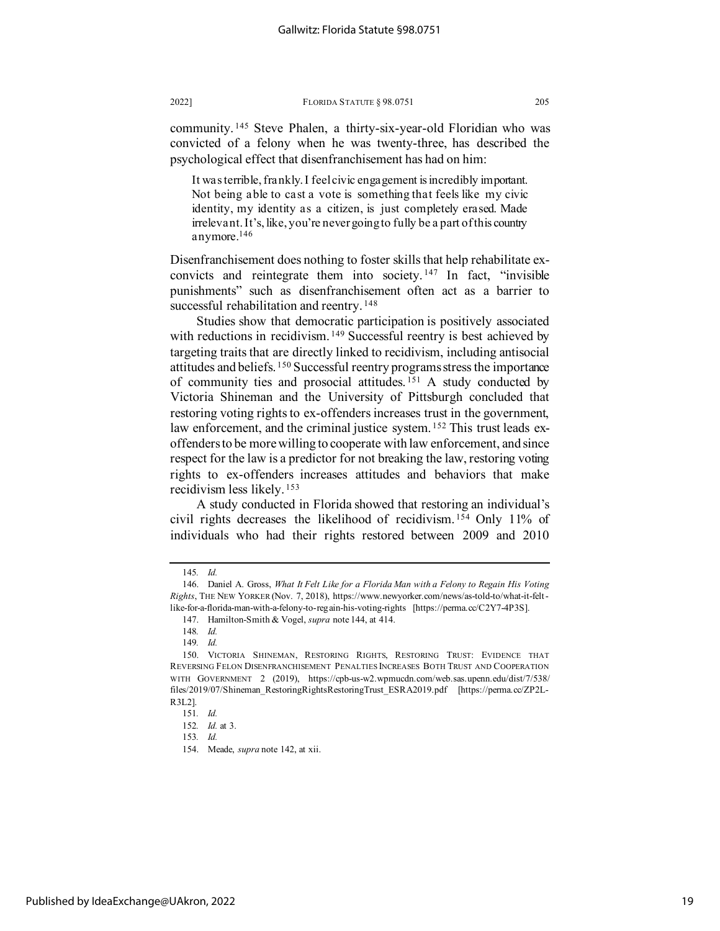community. [145](#page-19-0) Steve Phalen, a thirty-six-year-old Floridian who was convicted of a felony when he was twenty-three, has described the psychological effect that disenfranchisement has had on him:

It was terrible, frankly. I feel civic engagement is incredibly important. Not being able to cast a vote is something that feels like my civic identity, my identity as a citizen, is just completely erased. Made irrelevant. It's, like, you're never going to fully be a part of this country anymore[.146](#page-19-1)

Disenfranchisement does nothing to foster skills that help rehabilitate exconvicts and reintegrate them into society. [147](#page-19-2) In fact, "invisible punishments" such as disenfranchisement often act as a barrier to successful rehabilitation and reentry.<sup>[148](#page-19-3)</sup>

Studies show that democratic participation is positively associated with reductions in recidivism.<sup>[149](#page-19-4)</sup> Successful reentry is best achieved by targeting traits that are directly linked to recidivism, including antisocial attitudes and beliefs. [150](#page-19-5) Successful reentry programs stress the importance of community ties and prosocial attitudes.<sup>[151](#page-19-6)</sup> A study conducted by Victoria Shineman and the University of Pittsburgh concluded that restoring voting rights to ex-offenders increases trust in the government, law enforcement, and the criminal justice system. <sup>[152](#page-19-7)</sup> This trust leads exoffenders to be more willing to cooperate with law enforcement, and since respect for the law is a predictor for not breaking the law, restoring voting rights to ex-offenders increases attitudes and behaviors that make recidivism less likely. [153](#page-19-8)

A study conducted in Florida showed that restoring an individual's civil rights decreases the likelihood of recidivism. [154](#page-19-9) Only 11% of individuals who had their rights restored between 2009 and 2010

<sup>145</sup>*. Id.*

<span id="page-19-1"></span><span id="page-19-0"></span><sup>146.</sup> Daniel A. Gross, *What It Felt Like for a Florida Man with a Felony to Regain His Voting Rights*, THE NEW YORKER (Nov. 7, 2018), https://www.newyorker.com/news/as-told-to/what-it-feltlike-for-a-florida-man-with-a-felony-to-regain-his-voting-rights [https://perma.cc/C2Y7-4P3S].

<sup>147.</sup> Hamilton-Smith & Vogel, *supra* note 144, at 414.

<sup>148</sup>*. Id.*

<sup>149</sup>*. Id.*

<span id="page-19-5"></span><span id="page-19-4"></span><span id="page-19-3"></span><span id="page-19-2"></span><sup>150.</sup> VICTORIA SHINEMAN, RESTORING RIGHTS, RESTORING TRUST: EVIDENCE THAT REVERSING FELON DISENFRANCHISEMENT PENALTIES INCREASES BOTH TRUST AND COOPERATION WITH GOVERNMENT 2 (2019), https://cpb-us-w2.wpmucdn.com/web.sas.upenn.edu/dist/7/538/ files/2019/07/Shineman\_RestoringRightsRestoringTrust\_ESRA2019.pdf [https://perma.cc/ZP2L-R3L2].

<span id="page-19-9"></span><span id="page-19-8"></span><span id="page-19-7"></span><span id="page-19-6"></span><sup>151</sup>*. Id.*

<sup>152</sup>*. Id.* at 3.

<sup>153</sup>*. Id.*

<sup>154.</sup> Meade, *supra* note 142, at xii.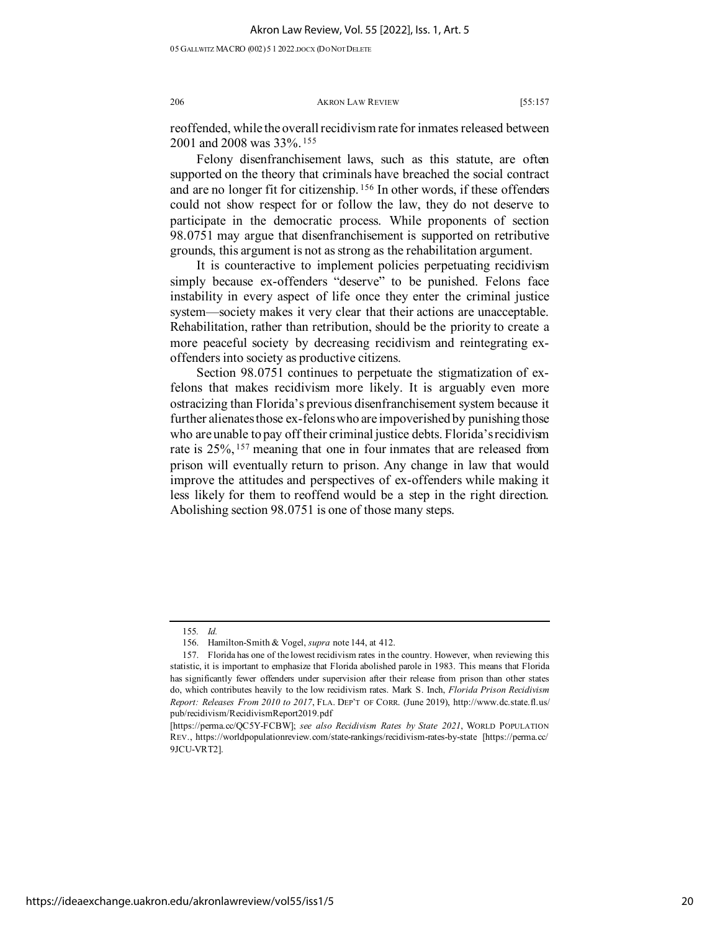05 GALLWITZ MACRO (002)5 1 2022.DOCX (DO NOTDELETE

206 AKRON LAW REVIEW [55:157

reoffended, while the overall recidivism rate for inmates released between 2001 and 2008 was 33%. [155](#page-20-0)

Felony disenfranchisement laws, such as this statute, are often supported on the theory that criminals have breached the social contract and are no longer fit for citizenship. [156](#page-20-1) In other words, if these offenders could not show respect for or follow the law, they do not deserve to participate in the democratic process. While proponents of section 98.0751 may argue that disenfranchisement is supported on retributive grounds, this argument is not as strong as the rehabilitation argument.

It is counteractive to implement policies perpetuating recidivism simply because ex-offenders "deserve" to be punished. Felons face instability in every aspect of life once they enter the criminal justice system—society makes it very clear that their actions are unacceptable. Rehabilitation, rather than retribution, should be the priority to create a more peaceful society by decreasing recidivism and reintegrating exoffenders into society as productive citizens.

Section 98.0751 continues to perpetuate the stigmatization of exfelons that makes recidivism more likely. It is arguably even more ostracizing than Florida's previous disenfranchisement system because it further alienates those ex-felons who are impoverished by punishing those who are unable to pay off their criminal justice debts. Florida's recidivism rate is 25%, <sup>[157](#page-20-2)</sup> meaning that one in four inmates that are released from prison will eventually return to prison. Any change in law that would improve the attitudes and perspectives of ex-offenders while making it less likely for them to reoffend would be a step in the right direction. Abolishing section 98.0751 is one of those many steps.

<sup>155</sup>*. Id.*

<sup>156.</sup> Hamilton-Smith & Vogel, *supra* note 144, at 412.

<span id="page-20-2"></span><span id="page-20-1"></span><span id="page-20-0"></span><sup>157.</sup> Florida has one of the lowest recidivism rates in the country. However, when reviewing this statistic, it is important to emphasize that Florida abolished parole in 1983. This means that Florida has significantly fewer offenders under supervision after their release from prison than other states do, which contributes heavily to the low recidivism rates. Mark S. Inch, *Florida Prison Recidivism Report: Releases From 2010 to 2017*, FLA. DEP'T OF CORR. (June 2019), http://www.dc.state.fl.us/ pub/recidivism/RecidivismReport2019.pdf

<sup>[</sup>https://perma.cc/QC5Y-FCBW]; *see also Recidivism Rates by State 2021*, WORLD POPULATION REV., https://worldpopulationreview.com/state-rankings/recidivism-rates-by-state [https://perma.cc/ 9JCU-VRT2].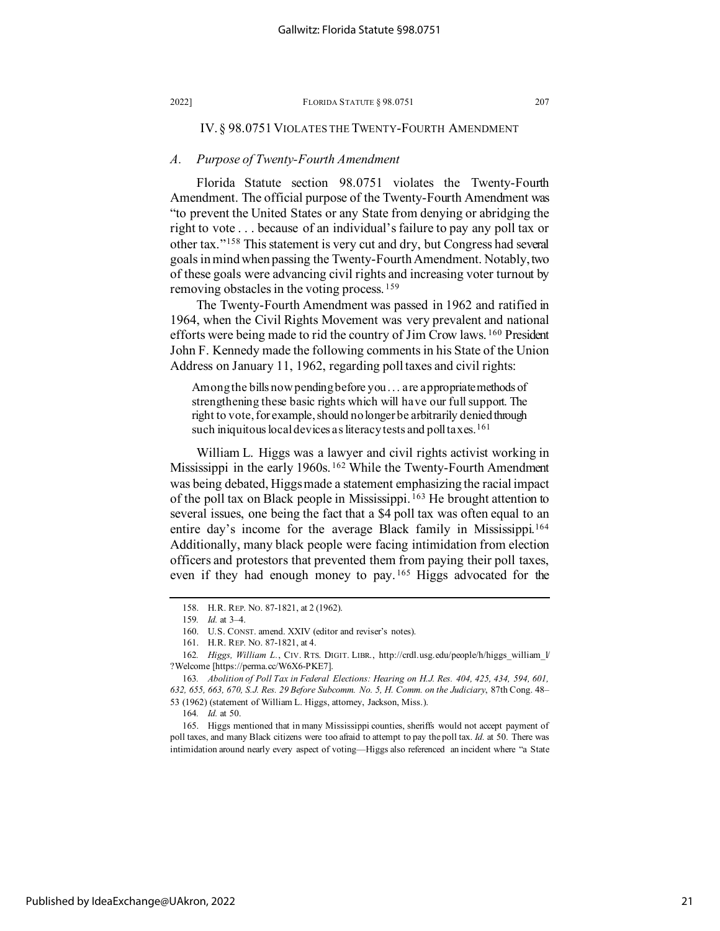## IV. § 98.0751 VIOLATES THE TWENTY-FOURTH AMENDMENT

## *A. Purpose of Twenty-Fourth Amendment*

Florida Statute section 98.0751 violates the Twenty-Fourth Amendment. The official purpose of the Twenty-Fourth Amendment was "to prevent the United States or any State from denying or abridging the right to vote . . . because of an individual's failure to pay any poll tax or other tax."[158](#page-21-0) This statement is very cut and dry, but Congress had several goals in mind when passing the Twenty-Fourth Amendment. Notably, two of these goals were advancing civil rights and increasing voter turnout by removing obstacles in the voting process. [159](#page-21-1)

The Twenty-Fourth Amendment was passed in 1962 and ratified in 1964, when the Civil Rights Movement was very prevalent and national efforts were being made to rid the country of Jim Crow laws. [160](#page-21-2) President John F. Kennedy made the following comments in his State of the Union Address on January 11, 1962, regarding poll taxes and civil rights:

Among the bills now pending before you . . . are appropriate methods of strengthening these basic rights which will have our full support. The right to vote, for example, should no longer be arbitrarily denied through such iniquitous local devices as literacy tests and poll taxes.<sup>[161](#page-21-3)</sup>

William L. Higgs was a lawyer and civil rights activist working in Mississippi in the early 1960s.<sup>[162](#page-21-4)</sup> While the Twenty-Fourth Amendment was being debated, Higgs made a statement emphasizing the racial impact of the poll tax on Black people in Mississippi. [163](#page-21-5) He brought attention to several issues, one being the fact that a \$4 poll tax was often equal to an entire day's income for the average Black family in Mississippi.[164](#page-21-6) Additionally, many black people were facing intimidation from election officers and protestors that prevented them from paying their poll taxes, even if they had enough money to pay. [165](#page-21-7) Higgs advocated for the

<sup>158.</sup> H.R. REP. NO. 87-1821, at 2 (1962).

<sup>159</sup>*. Id.* at 3–4.

<sup>160.</sup> U.S. CONST. amend. XXIV (editor and reviser's notes).

<sup>161.</sup> H.R. REP. NO. 87-1821, at 4.

<span id="page-21-4"></span><span id="page-21-3"></span><span id="page-21-2"></span><span id="page-21-1"></span><span id="page-21-0"></span><sup>162</sup>*. Higgs, William L.*, CIV. RTS. DIGIT. LIBR., http://crdl.usg.edu/people/h/higgs\_william\_l/ ?Welcome [https://perma.cc/W6X6-PKE7].

<span id="page-21-5"></span><sup>163</sup>*. Abolition of Poll Tax in Federal Elections: Hearing on H.J. Res. 404, 425, 434, 594, 601, 632, 655, 663, 670, S.J. Res. 29 Before Subcomm. No. 5, H. Comm. on the Judiciary*, 87th Cong. 48– 53 (1962) (statement of William L. Higgs, attorney, Jackson, Miss.).

<sup>164</sup>*. Id.* at 50.

<span id="page-21-7"></span><span id="page-21-6"></span><sup>165.</sup> Higgs mentioned that in many Mississippi counties, sheriffs would not accept payment of poll taxes, and many Black citizens were too afraid to attempt to pay the poll tax. *Id.* at 50. There was intimidation around nearly every aspect of voting—Higgs also referenced an incident where "a State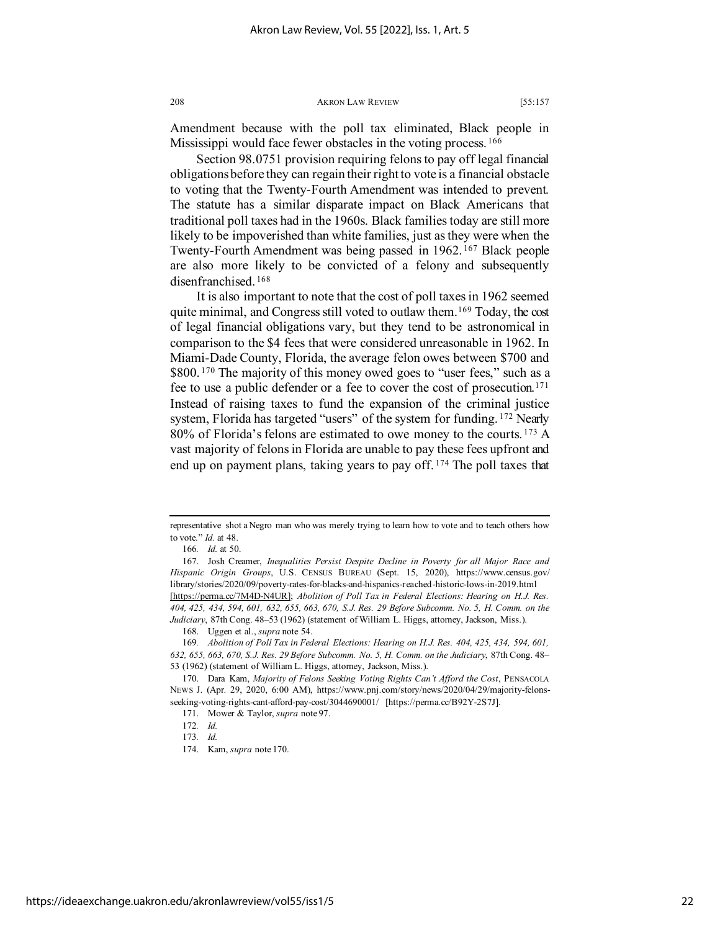Amendment because with the poll tax eliminated, Black people in Mississippi would face fewer obstacles in the voting process.<sup>[166](#page-22-0)</sup>

Section 98.0751 provision requiring felons to pay off legal financial obligations before they can regain their right to vote is a financial obstacle to voting that the Twenty-Fourth Amendment was intended to prevent. The statute has a similar disparate impact on Black Americans that traditional poll taxes had in the 1960s. Black families today are still more likely to be impoverished than white families, just as they were when the Twenty-Fourth Amendment was being passed in 1962. [167](#page-22-1) Black people are also more likely to be convicted of a felony and subsequently disenfranchised. [168](#page-22-2)

It is also important to note that the cost of poll taxes in 1962 seemed quite minimal, and Congress still voted to outlaw them.[169](#page-22-3) Today, the cost of legal financial obligations vary, but they tend to be astronomical in comparison to the \$4 fees that were considered unreasonable in 1962. In Miami-Dade County, Florida, the average felon owes between \$700 and \$800.<sup>[170](#page-22-4)</sup> The majority of this money owed goes to "user fees," such as a fee to use a public defender or a fee to cover the cost of prosecution.<sup>[171](#page-22-5)</sup> Instead of raising taxes to fund the expansion of the criminal justice system, Florida has targeted "users" of the system for funding. <sup>[172](#page-22-6)</sup> Nearly 80% of Florida's felons are estimated to owe money to the courts. [173](#page-22-7) A vast majority of felons in Florida are unable to pay these fees upfront and end up on payment plans, taking years to pay off.<sup>[174](#page-22-8)</sup> The poll taxes that

representative shot a Negro man who was merely trying to learn how to vote and to teach others how to vote." *Id.* at 48.

<sup>166</sup>*. Id.* at 50.

<span id="page-22-1"></span><span id="page-22-0"></span><sup>167.</sup> Josh Creamer, *Inequalities Persist Despite Decline in Poverty for all Major Race and Hispanic Origin Groups*, U.S. CENSUS BUREAU (Sept. 15, 2020), https://www.census.gov/ library/stories/2020/09/poverty-rates-for-blacks-and-hispanics-reached-historic-lows-in-2019.html [https://perma.cc/7M4D-N4UR]; *Abolition of Poll Tax in Federal Elections: Hearing on H.J. Res. 404, 425, 434, 594, 601, 632, 655, 663, 670, S.J. Res. 29 Before Subcomm. No. 5, H. Comm. on the* 

<span id="page-22-2"></span>*Judiciary*, 87th Cong. 48–53 (1962) (statement of William L. Higgs, attorney, Jackson, Miss.).

<sup>168.</sup> Uggen et al., *supra* note 54.

<span id="page-22-3"></span><sup>169</sup>*. Abolition of Poll Tax in Federal Elections: Hearing on H.J. Res. 404, 425, 434, 594, 601, 632, 655, 663, 670, S.J. Res. 29 Before Subcomm. No. 5, H. Comm. on the Judiciary*, 87th Cong. 48– 53 (1962) (statement of William L. Higgs, attorney, Jackson, Miss.).

<span id="page-22-7"></span><span id="page-22-6"></span><span id="page-22-5"></span><span id="page-22-4"></span><sup>170.</sup> Dara Kam, *Majority of Felons Seeking Voting Rights Can't Afford the Cost*, PENSACOLA NEWS J. (Apr. 29, 2020, 6:00 AM), https://www.pnj.com/story/news/2020/04/29/majority-felonsseeking-voting-rights-cant-afford-pay-cost/3044690001/ [https://perma.cc/B92Y-2S7J].

<sup>171.</sup> Mower & Taylor, *supra* note 97.

<sup>172</sup>*. Id.*

<sup>173</sup>*. Id.*

<span id="page-22-8"></span><sup>174.</sup> Kam, *supra* note 170.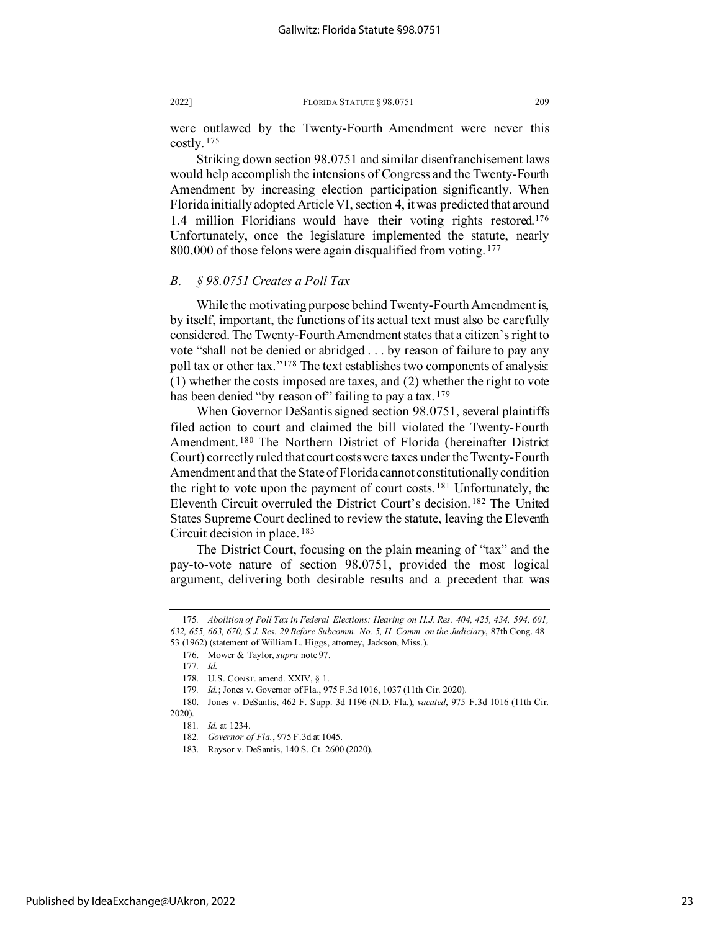were outlawed by the Twenty-Fourth Amendment were never this costly. [175](#page-23-0)

Striking down section 98.0751 and similar disenfranchisement laws would help accomplish the intensions of Congress and the Twenty-Fourth Amendment by increasing election participation significantly. When Florida initially adopted Article VI, section 4, it was predicted that around 1.4 million Floridians would have their voting rights restored.[176](#page-23-1) Unfortunately, once the legislature implemented the statute, nearly 800,000 of those felons were again disqualified from voting. <sup>[177](#page-23-2)</sup>

## *B. § 98.0751 Creates a Poll Tax*

While the motivating purpose behind Twenty-Fourth Amendment is, by itself, important, the functions of its actual text must also be carefully considered. The Twenty-Fourth Amendment states that a citizen's right to vote "shall not be denied or abridged . . . by reason of failure to pay any poll tax or other tax."<sup>[178](#page-23-3)</sup> The text establishes two components of analysis: (1) whether the costs imposed are taxes, and (2) whether the right to vote has been denied "by reason of" failing to pay a tax. [179](#page-23-4)

When Governor DeSantis signed section 98.0751, several plaintiffs filed action to court and claimed the bill violated the Twenty-Fourth Amendment. [180](#page-23-5) The Northern District of Florida (hereinafter District Court) correctly ruled that court costs were taxes under the Twenty-Fourth Amendment and that the Stateof Florida cannot constitutionally condition the right to vote upon the payment of court costs. [181](#page-23-6) Unfortunately, the Eleventh Circuit overruled the District Court's decision. [182](#page-23-7) The United States Supreme Court declined to review the statute, leaving the Eleventh Circuit decision in place. [183](#page-23-8)

The District Court, focusing on the plain meaning of "tax" and the pay-to-vote nature of section 98.0751, provided the most logical argument, delivering both desirable results and a precedent that was

<span id="page-23-1"></span><span id="page-23-0"></span><sup>175</sup>*. Abolition of Poll Tax in Federal Elections: Hearing on H.J. Res. 404, 425, 434, 594, 601, 632, 655, 663, 670, S.J. Res. 29 Before Subcomm. No. 5, H. Comm. on the Judiciary*, 87th Cong. 48– 53 (1962) (statement of William L. Higgs, attorney, Jackson, Miss.).

<sup>176.</sup> Mower & Taylor, *supra* note 97.

<sup>177</sup>*. Id.*

<sup>178.</sup> U.S. CONST. amend. XXIV, § 1.

<sup>179</sup>*. Id.*; Jones v. Governor of Fla., 975 F.3d 1016, 1037 (11th Cir. 2020).

<span id="page-23-8"></span><span id="page-23-7"></span><span id="page-23-6"></span><span id="page-23-5"></span><span id="page-23-4"></span><span id="page-23-3"></span><span id="page-23-2"></span><sup>180.</sup> Jones v. DeSantis, 462 F. Supp. 3d 1196 (N.D. Fla.), *vacated*, 975 F.3d 1016 (11th Cir. 2020).

<sup>181</sup>*. Id.* at 1234.

<sup>182</sup>*. Governor of Fla.*, 975 F.3d at 1045.

<sup>183.</sup> Raysor v. DeSantis, 140 S. Ct. 2600 (2020).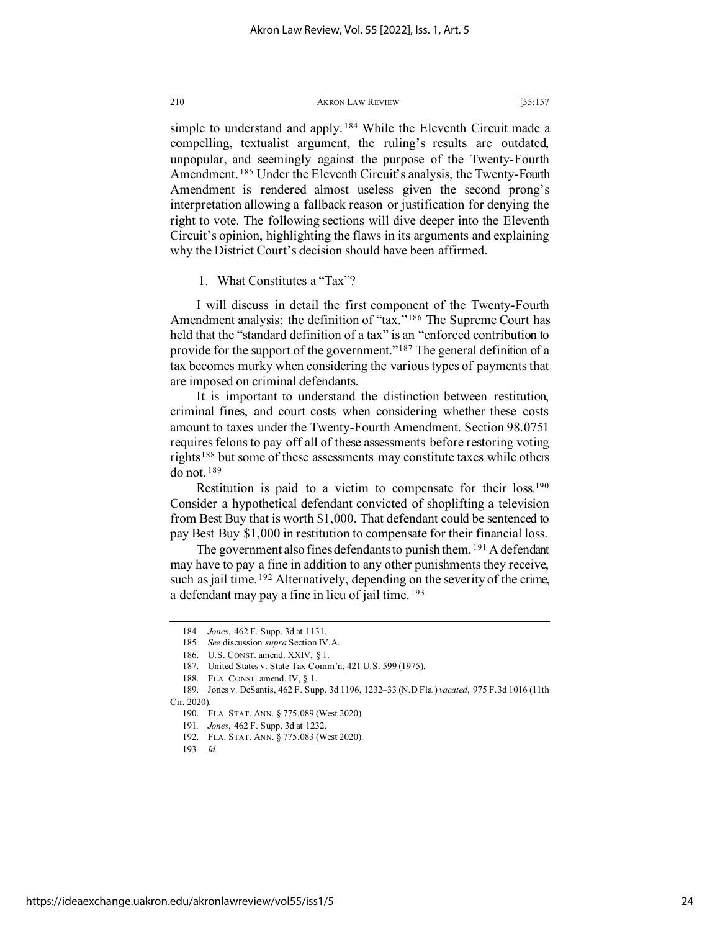simple to understand and apply.<sup>[184](#page-24-0)</sup> While the Eleventh Circuit made a compelling, textualist argument, the ruling's results are outdated, unpopular, and seemingly against the purpose of the Twenty-Fourth Amendment.<sup>[185](#page-24-1)</sup> Under the Eleventh Circuit's analysis, the Twenty-Fourth Amendment is rendered almost useless given the second prong's interpretation allowing a fallback reason or justification for denying the right to vote. The following sections will dive deeper into the Eleventh Circuit's opinion, highlighting the flaws in its arguments and explaining why the District Court's decision should have been affirmed.

1. What Constitutes a "Tax"?

I will discuss in detail the first component of the Twenty-Fourth Amendment analysis: the definition of "tax."<sup>[186](#page-24-2)</sup> The Supreme Court has held that the "standard definition of a tax" is an "enforced contribution to provide for the support of the government."<sup>[187](#page-24-3)</sup> The general definition of a tax becomes murky when considering the various types of payments that are imposed on criminal defendants.

It is important to understand the distinction between restitution, criminal fines, and court costs when considering whether these costs amount to taxes under the Twenty-Fourth Amendment. Section 98.0751 requires felons to pay off all of these assessments before restoring voting rights[188](#page-24-4) but some of these assessments may constitute taxes while others do not. [189](#page-24-5) 

Restitution is paid to a victim to compensate for their loss.[190](#page-24-6) Consider a hypothetical defendant convicted of shoplifting a television from Best Buy that is worth \$1,000. That defendant could be sentenced to pay Best Buy \$1,000 in restitution to compensate for their financial loss.

The government also fines defendants to punish them. <sup>[191](#page-24-7)</sup> A defendant may have to pay a fine in addition to any other punishments they receive, such as jail time. <sup>[192](#page-24-8)</sup> Alternatively, depending on the severity of the crime, a defendant may pay a fine in lieu of jail time. [193](#page-24-9)

<sup>184</sup>*. Jones*, 462 F. Supp. 3d at 1131.

<sup>185</sup>*. See* discussion *supra* Section IV.A.

<sup>186.</sup> U.S. CONST. amend. XXIV, § 1.

<sup>187.</sup> United States v. State Tax Comm'n, 421 U.S. 599 (1975).

<sup>188.</sup> FLA. CONST. amend. IV, § 1.

<span id="page-24-9"></span><span id="page-24-8"></span><span id="page-24-7"></span><span id="page-24-6"></span><span id="page-24-5"></span><span id="page-24-4"></span><span id="page-24-3"></span><span id="page-24-2"></span><span id="page-24-1"></span><span id="page-24-0"></span><sup>189.</sup> Jones v. DeSantis, 462 F. Supp. 3d 1196, 1232–33 (N.D Fla.) *vacated*, 975 F.3d 1016 (11th Cir. 2020).

<sup>190.</sup> FLA. STAT. ANN. § 775.089 (West 2020).

<sup>191</sup>*. Jones*, 462 F. Supp. 3d at 1232.

<sup>192.</sup> FLA. STAT. ANN. § 775.083 (West 2020).

<sup>193</sup>*. Id.*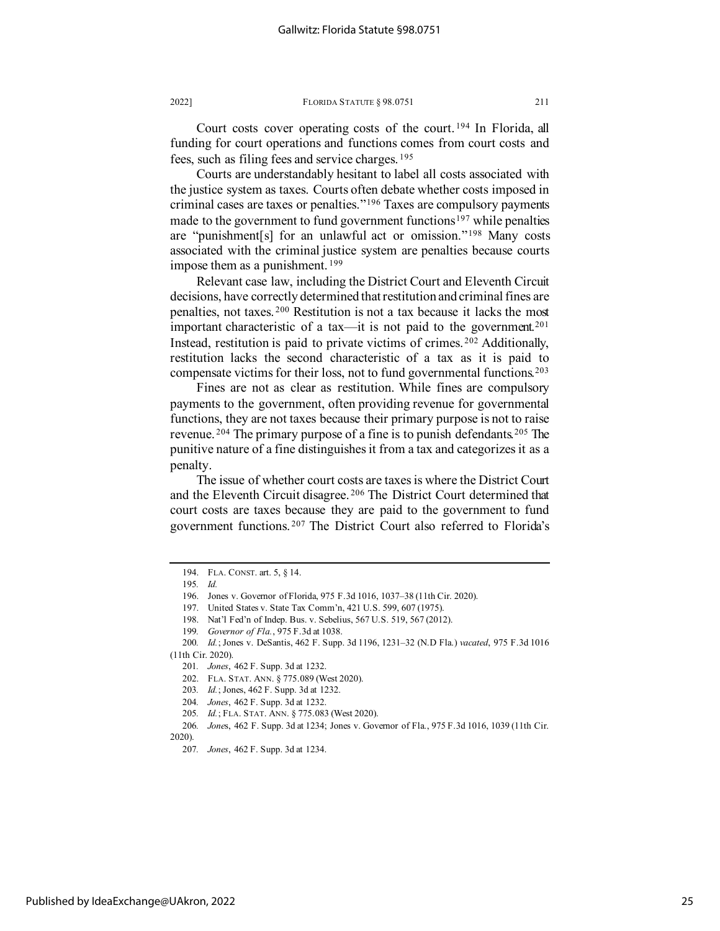Court costs cover operating costs of the court. [194](#page-25-0) In Florida, all funding for court operations and functions comes from court costs and fees, such as filing fees and service charges. [195](#page-25-1)

Courts are understandably hesitant to label all costs associated with the justice system as taxes. Courts often debate whether costs imposed in criminal cases are taxes or penalties."[196](#page-25-2) Taxes are compulsory payments made to the government to fund government functions<sup>[197](#page-25-3)</sup> while penalties are "punishment[s] for an unlawful act or omission."[198](#page-25-4) Many costs associated with the criminal justice system are penalties because courts impose them as a punishment. [199](#page-25-5)

Relevant case law, including the District Court and Eleventh Circuit decisions, have correctly determined that restitution and criminal fines are penalties, not taxes. [200](#page-25-6) Restitution is not a tax because it lacks the most important characteristic of a tax—it is not paid to the government.<sup>[201](#page-25-7)</sup> Instead, restitution is paid to private victims of crimes. [202](#page-25-8) Additionally, restitution lacks the second characteristic of a tax as it is paid to compensate victims for their loss, not to fund governmental functions.<sup>[203](#page-25-9)</sup>

Fines are not as clear as restitution. While fines are compulsory payments to the government, often providing revenue for governmental functions, they are not taxes because their primary purpose is not to raise revenue.  $204$  The primary purpose of a fine is to punish defendants.  $205$  The punitive nature of a fine distinguishes it from a tax and categorizes it as a penalty.

The issue of whether court costs are taxes is where the District Court and the Eleventh Circuit disagree. [206](#page-25-12) The District Court determined that court costs are taxes because they are paid to the government to fund government functions. [207](#page-25-13) The District Court also referred to Florida's

<span id="page-25-1"></span><span id="page-25-0"></span><sup>194.</sup> FLA. CONST. art. 5, § 14.

<sup>195</sup>*. Id.*

<sup>196.</sup> Jones v. Governor of Florida, 975 F.3d 1016, 1037–38 (11th Cir. 2020).

<sup>197.</sup> United States v. State Tax Comm'n, 421 U.S. 599, 607 (1975).

<sup>198.</sup> Nat'l Fed'n of Indep. Bus. v. Sebelius, 567 U.S. 519, 567 (2012).

<sup>199</sup>*. Governor of Fla.*, 975 F.3d at 1038.

<span id="page-25-8"></span><span id="page-25-7"></span><span id="page-25-6"></span><span id="page-25-5"></span><span id="page-25-4"></span><span id="page-25-3"></span><span id="page-25-2"></span><sup>200</sup>*. Id.*; Jones v. DeSantis, 462 F. Supp. 3d 1196, 1231–32 (N.D Fla.) *vacated*, 975 F.3d 1016 (11th Cir. 2020).

<sup>201</sup>*. Jones*, 462 F. Supp. 3d at 1232.

<sup>202.</sup> FLA. STAT. ANN. § 775.089 (West 2020).

<sup>203</sup>*. Id.*; Jones, 462 F. Supp. 3d at 1232.

<sup>204</sup>*. Jones*, 462 F. Supp. 3d at 1232.

<sup>205</sup>*. Id.*; FLA. STAT. ANN. § 775.083 (West 2020).

<span id="page-25-13"></span><span id="page-25-12"></span><span id="page-25-11"></span><span id="page-25-10"></span><span id="page-25-9"></span><sup>206</sup>*. Jone*s, 462 F. Supp. 3d at 1234; Jones v. Governor of Fla., 975 F.3d 1016, 1039 (11th Cir. 2020).

<sup>207</sup>*. Jones*, 462 F. Supp. 3d at 1234.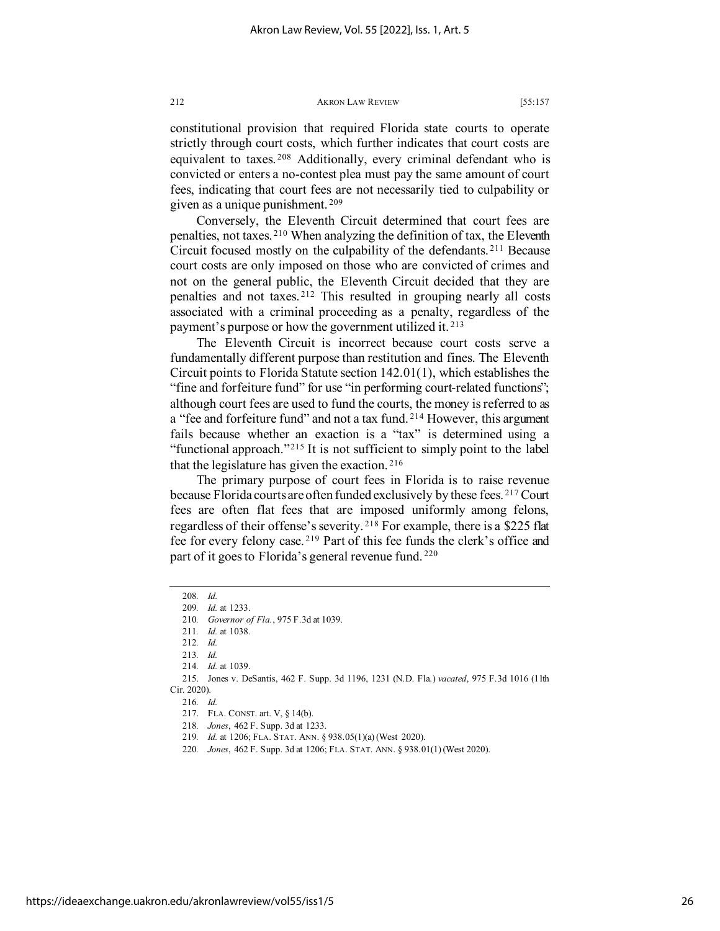constitutional provision that required Florida state courts to operate strictly through court costs, which further indicates that court costs are equivalent to taxes. [208](#page-26-0) Additionally, every criminal defendant who is convicted or enters a no-contest plea must pay the same amount of court fees, indicating that court fees are not necessarily tied to culpability or given as a unique punishment. [209](#page-26-1)

Conversely, the Eleventh Circuit determined that court fees are penalties, not taxes. [210](#page-26-2) When analyzing the definition of tax, the Eleventh Circuit focused mostly on the culpability of the defendants. [211](#page-26-3) Because court costs are only imposed on those who are convicted of crimes and not on the general public, the Eleventh Circuit decided that they are penalties and not taxes. [212](#page-26-4) This resulted in grouping nearly all costs associated with a criminal proceeding as a penalty, regardless of the payment's purpose or how the government utilized it. [213](#page-26-5)

The Eleventh Circuit is incorrect because court costs serve a fundamentally different purpose than restitution and fines. The Eleventh Circuit points to Florida Statute section 142.01(1), which establishes the "fine and forfeiture fund" for use "in performing court-related functions"; although court fees are used to fund the courts, the money is referred to as a "fee and forfeiture fund" and not a tax fund. [214](#page-26-6) However, this argument fails because whether an exaction is a "tax" is determined using a "functional approach."<sup>[215](#page-26-7)</sup> It is not sufficient to simply point to the label that the legislature has given the exaction. [216](#page-26-8)

The primary purpose of court fees in Florida is to raise revenue because Florida courts are often funded exclusively by these fees. [217](#page-26-9) Court fees are often flat fees that are imposed uniformly among felons, regardless of their offense's severity. [218](#page-26-10) For example, there is a \$225 flat fee for every felony case. [219](#page-26-11) Part of this fee funds the clerk's office and part of it goes to Florida's general revenue fund.<sup>[220](#page-26-12)</sup>

216*. Id.*

- 219*. Id.* at 1206; FLA. STAT. ANN. § 938.05(1)(a) (West 2020).
- <span id="page-26-12"></span><span id="page-26-11"></span>220*. Jones*, 462 F. Supp. 3d at 1206; FLA. STAT. ANN. § 938.01(1) (West 2020).

<span id="page-26-1"></span><span id="page-26-0"></span><sup>208</sup>*. Id.*

<sup>209</sup>*. Id.* at 1233.

<sup>210</sup>*. Governor of Fla.*, 975 F.3d at 1039.

<sup>211</sup>*. Id.* at 1038.

<sup>212</sup>*. Id.*

<sup>213</sup>*. Id.*

<sup>214</sup>*. Id.* at 1039.

<span id="page-26-10"></span><span id="page-26-9"></span><span id="page-26-8"></span><span id="page-26-7"></span><span id="page-26-6"></span><span id="page-26-5"></span><span id="page-26-4"></span><span id="page-26-3"></span><span id="page-26-2"></span><sup>215.</sup> Jones v. DeSantis, 462 F. Supp. 3d 1196, 1231 (N.D. Fla.) *vacated*, 975 F.3d 1016 (11th Cir. 2020).

<sup>217.</sup> FLA. CONST. art. V, § 14(b).

<sup>218</sup>*. Jones*, 462 F. Supp. 3d at 1233.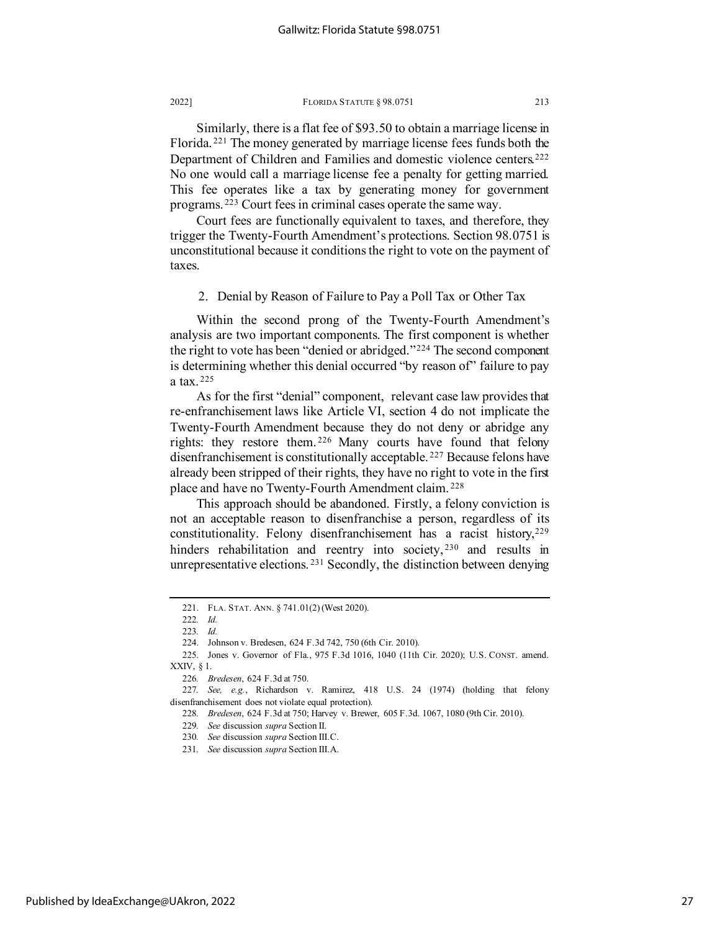Similarly, there is a flat fee of \$93.50 to obtain a marriage license in Florida. [221](#page-27-0) The money generated by marriage license fees funds both the Department of Children and Families and domestic violence centers.<sup>[222](#page-27-1)</sup> No one would call a marriage license fee a penalty for getting married. This fee operates like a tax by generating money for government programs. [223](#page-27-2) Court fees in criminal cases operate the same way.

Court fees are functionally equivalent to taxes, and therefore, they trigger the Twenty-Fourth Amendment's protections. Section 98.0751 is unconstitutional because it conditions the right to vote on the payment of taxes.

2. Denial by Reason of Failure to Pay a Poll Tax or Other Tax

Within the second prong of the Twenty-Fourth Amendment's analysis are two important components. The first component is whether the right to vote has been "denied or abridged."[224](#page-27-3) The second component is determining whether this denial occurred "by reason of" failure to pay a tax. [225](#page-27-4)

As for the first "denial" component, relevant case law provides that re-enfranchisement laws like Article VI, section 4 do not implicate the Twenty-Fourth Amendment because they do not deny or abridge any rights: they restore them. [226](#page-27-5) Many courts have found that felony disenfranchisement is constitutionally acceptable. [227](#page-27-6) Because felons have already been stripped of their rights, they have no right to vote in the first place and have no Twenty-Fourth Amendment claim. [228](#page-27-7)

This approach should be abandoned. Firstly, a felony conviction is not an acceptable reason to disenfranchise a person, regardless of its constitutionality. Felony disenfranchisement has a racist history,<sup>[229](#page-27-8)</sup> hinders rehabilitation and reentry into society,<sup>[230](#page-27-9)</sup> and results in unrepresentative elections. [231](#page-27-10) Secondly, the distinction between denying

<sup>221.</sup> FLA. STAT. ANN. § 741.01(2) (West 2020).

<sup>222</sup>*. Id.*

<sup>223</sup>*. Id.*

<sup>224.</sup> Johnson v. Bredesen, 624 F.3d 742, 750 (6th Cir. 2010).

<span id="page-27-4"></span><span id="page-27-3"></span><span id="page-27-2"></span><span id="page-27-1"></span><span id="page-27-0"></span><sup>225.</sup> Jones v. Governor of Fla., 975 F.3d 1016, 1040 (11th Cir. 2020); U.S. CONST. amend. XXIV, § 1.

<sup>226</sup>*. Bredesen*, 624 F.3d at 750.

<span id="page-27-9"></span><span id="page-27-8"></span><span id="page-27-7"></span><span id="page-27-6"></span><span id="page-27-5"></span><sup>227</sup>*. See, e.g.*, Richardson v. Ramirez, 418 U.S. 24 (1974) (holding that felony disenfranchisement does not violate equal protection).

<sup>228</sup>*. Bredesen*, 624 F.3d at 750; Harvey v. Brewer, 605 F.3d. 1067, 1080 (9th Cir. 2010).

<sup>229</sup>*. See* discussion *supra* Section II.

<sup>230</sup>*. See* discussion *supra* Section III.C.

<span id="page-27-10"></span><sup>231</sup>*. See* discussion *supra* Section III.A.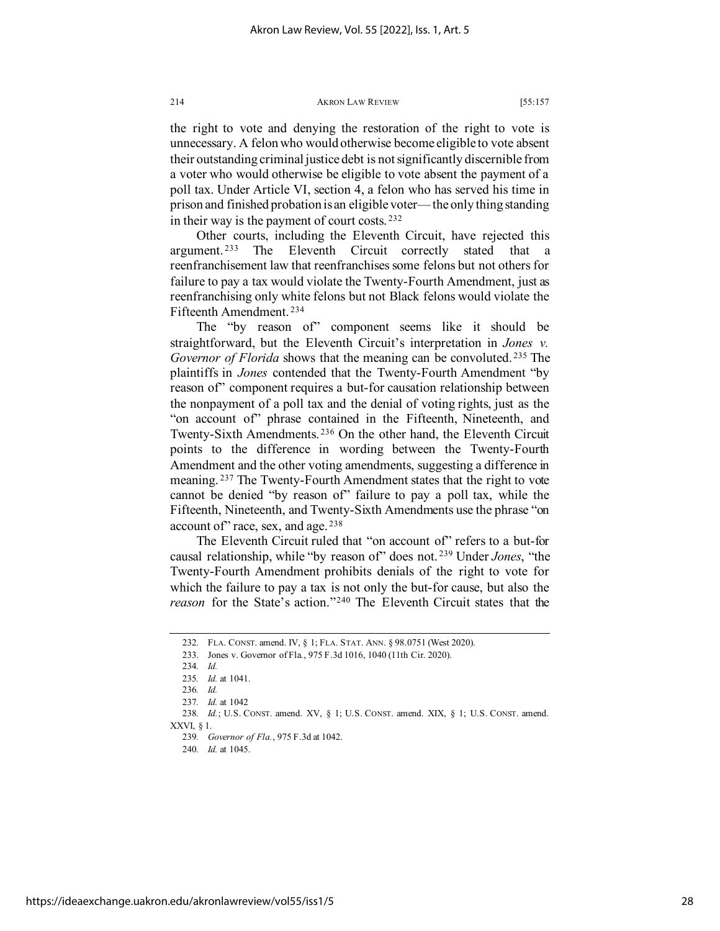the right to vote and denying the restoration of the right to vote is unnecessary. A felon who would otherwise become eligible to vote absent their outstanding criminal justice debt is not significantly discernible from a voter who would otherwise be eligible to vote absent the payment of a poll tax. Under Article VI, section 4, a felon who has served his time in prison and finished probation is an eligible voter— the only thing standing in their way is the payment of court costs. [232](#page-28-0)

Other courts, including the Eleventh Circuit, have rejected this argument. [233](#page-28-1) The Eleventh Circuit correctly stated that a reenfranchisement law that reenfranchises some felons but not others for failure to pay a tax would violate the Twenty-Fourth Amendment, just as reenfranchising only white felons but not Black felons would violate the Fifteenth Amendment. [234](#page-28-2)

The "by reason of" component seems like it should be straightforward, but the Eleventh Circuit's interpretation in *Jones v. Governor of Florida* shows that the meaning can be convoluted. [235](#page-28-3) The plaintiffs in *Jones* contended that the Twenty-Fourth Amendment "by reason of" component requires a but-for causation relationship between the nonpayment of a poll tax and the denial of voting rights, just as the "on account of" phrase contained in the Fifteenth, Nineteenth, and Twenty-Sixth Amendments. [236](#page-28-4) On the other hand, the Eleventh Circuit points to the difference in wording between the Twenty-Fourth Amendment and the other voting amendments, suggesting a difference in meaning. [237](#page-28-5) The Twenty-Fourth Amendment states that the right to vote cannot be denied "by reason of" failure to pay a poll tax, while the Fifteenth, Nineteenth, and Twenty-Sixth Amendments use the phrase "on account of" race, sex, and age.<sup>[238](#page-28-6)</sup>

The Eleventh Circuit ruled that "on account of" refers to a but-for causal relationship, while "by reason of" does not. [239](#page-28-7) Under *Jones*, "the Twenty-Fourth Amendment prohibits denials of the right to vote for which the failure to pay a tax is not only the but-for cause, but also the *reason* for the State's action."[240](#page-28-8) The Eleventh Circuit states that the

<sup>232.</sup> FLA. CONST. amend. IV, § 1; FLA. STAT. ANN. § 98.0751 (West 2020).

<span id="page-28-1"></span><span id="page-28-0"></span><sup>233.</sup> Jones v. Governor of Fla., 975 F.3d 1016, 1040 (11th Cir. 2020).

<sup>234</sup>*. Id.*

<sup>235</sup>*. Id.* at 1041.

<sup>236</sup>*. Id.*

<sup>237</sup>*. Id.* at 1042

<span id="page-28-8"></span><span id="page-28-7"></span><span id="page-28-6"></span><span id="page-28-5"></span><span id="page-28-4"></span><span id="page-28-3"></span><span id="page-28-2"></span><sup>238</sup>*. Id.*; U.S. CONST. amend. XV, § 1; U.S. CONST. amend. XIX, § 1; U.S. CONST. amend. XXVI, § 1.

<sup>239</sup>*. Governor of Fla.*, 975 F.3d at 1042.

<sup>240</sup>*. Id.* at 1045.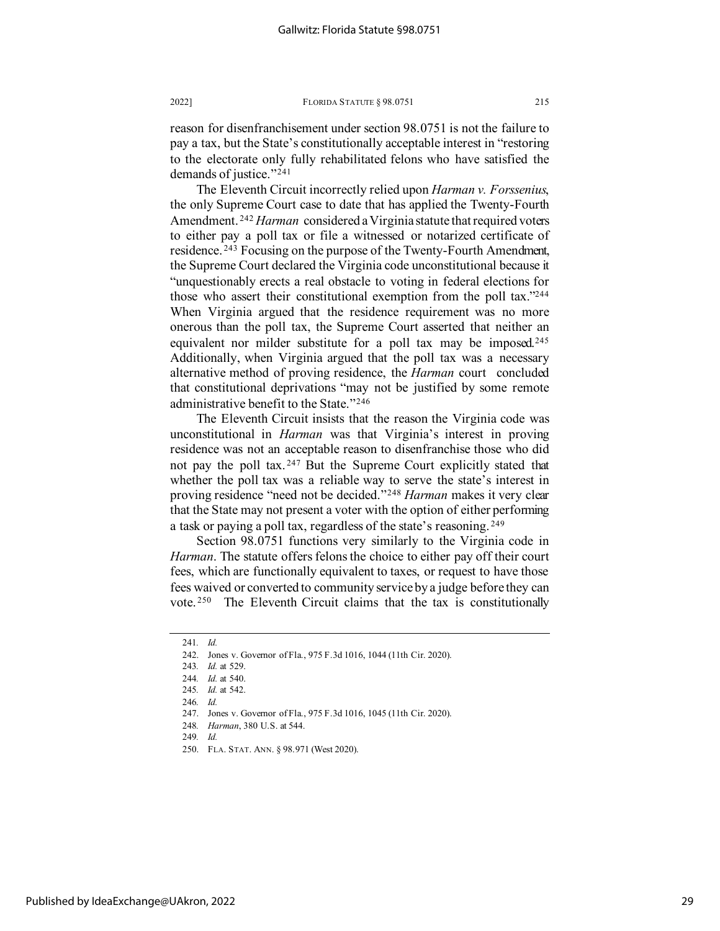reason for disenfranchisement under section 98.0751 is not the failure to pay a tax, but the State's constitutionally acceptable interest in "restoring to the electorate only fully rehabilitated felons who have satisfied the demands of justice."[241](#page-29-0)

The Eleventh Circuit incorrectly relied upon *Harman v. Forssenius*, the only Supreme Court case to date that has applied the Twenty-Fourth Amendment. [242](#page-29-1) *Harman* considered a Virginia statute that required voters to either pay a poll tax or file a witnessed or notarized certificate of residence. [243](#page-29-2) Focusing on the purpose of the Twenty-Fourth Amendment, the Supreme Court declared the Virginia code unconstitutional because it "unquestionably erects a real obstacle to voting in federal elections for those who assert their constitutional exemption from the poll tax.["244](#page-29-3) When Virginia argued that the residence requirement was no more onerous than the poll tax, the Supreme Court asserted that neither an equivalent nor milder substitute for a poll tax may be imposed.<sup>[245](#page-29-4)</sup> Additionally, when Virginia argued that the poll tax was a necessary alternative method of proving residence, the *Harman* court concluded that constitutional deprivations "may not be justified by some remote administrative benefit to the State."[246](#page-29-5)

The Eleventh Circuit insists that the reason the Virginia code was unconstitutional in *Harman* was that Virginia's interest in proving residence was not an acceptable reason to disenfranchise those who did not pay the poll tax. [247](#page-29-6) But the Supreme Court explicitly stated that whether the poll tax was a reliable way to serve the state's interest in proving residence "need not be decided."[248](#page-29-7) *Harman* makes it very clear that the State may not present a voter with the option of either performing a task or paying a poll tax, regardless of the state's reasoning. [249](#page-29-8)

Section 98.0751 functions very similarly to the Virginia code in *Harman*. The statute offers felons the choice to either pay off their court fees, which are functionally equivalent to taxes, or request to have those fees waived or converted to community service by a judge before they can vote. [250](#page-29-9) The Eleventh Circuit claims that the tax is constitutionally

<span id="page-29-2"></span><span id="page-29-1"></span><span id="page-29-0"></span><sup>241</sup>*. Id.*

<sup>242.</sup> Jones v. Governor of Fla., 975 F.3d 1016, 1044 (11th Cir. 2020).

<sup>243</sup>*. Id.* at 529.

<sup>244</sup>*. Id.* at 540.

<span id="page-29-3"></span><sup>245</sup>*. Id.* at 542.

<sup>246</sup>*. Id.*

<span id="page-29-7"></span><span id="page-29-6"></span><span id="page-29-5"></span><span id="page-29-4"></span><sup>247.</sup> Jones v. Governor of Fla., 975 F.3d 1016, 1045 (11th Cir. 2020).

<sup>248</sup>*. Harman*, 380 U.S. at 544.

<sup>249</sup>*. Id.*

<span id="page-29-9"></span><span id="page-29-8"></span><sup>250.</sup> FLA. STAT. ANN. § 98.971 (West 2020).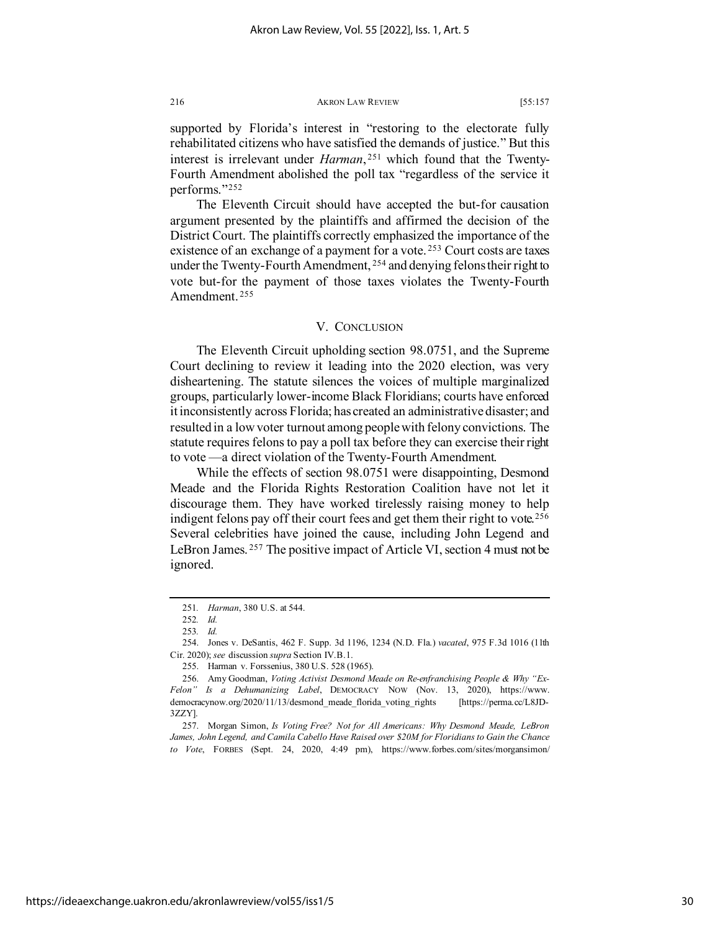supported by Florida's interest in "restoring to the electorate fully rehabilitated citizens who have satisfied the demands of justice." But this interest is irrelevant under *Harman*, [251](#page-30-0) which found that the Twenty-Fourth Amendment abolished the poll tax "regardless of the service it performs."[252](#page-30-1)

The Eleventh Circuit should have accepted the but-for causation argument presented by the plaintiffs and affirmed the decision of the District Court. The plaintiffs correctly emphasized the importance of the existence of an exchange of a payment for a vote.<sup>[253](#page-30-2)</sup> Court costs are taxes under the Twenty-Fourth Amendment, <sup>[254](#page-30-3)</sup> and denying felons their right to vote but-for the payment of those taxes violates the Twenty-Fourth Amendment. [255](#page-30-4)

## V. CONCLUSION

The Eleventh Circuit upholding section 98.0751, and the Supreme Court declining to review it leading into the 2020 election, was very disheartening. The statute silences the voices of multiple marginalized groups, particularly lower-income Black Floridians; courts have enforced it inconsistently across Florida; has created an administrative disaster; and resulted in a low voter turnout among people with felony convictions. The statute requires felons to pay a poll tax before they can exercise their right to vote —a direct violation of the Twenty-Fourth Amendment.

While the effects of section 98.0751 were disappointing, Desmond Meade and the Florida Rights Restoration Coalition have not let it discourage them. They have worked tirelessly raising money to help indigent felons pay off their court fees and get them their right to vote.<sup>[256](#page-30-5)</sup> Several celebrities have joined the cause, including John Legend and LeBron James. [257](#page-30-6) The positive impact of Article VI, section 4 must not be ignored.

<span id="page-30-6"></span>257. Morgan Simon, *Is Voting Free? Not for All Americans: Why Desmond Meade, LeBron James, John Legend, and Camila Cabello Have Raised over \$20M for Floridians to Gain the Chance to Vote*, FORBES (Sept. 24, 2020, 4:49 pm), https://www.forbes.com/sites/morgansimon/

<sup>251</sup>*. Harman*, 380 U.S. at 544.

<sup>252</sup>*. Id.*

<sup>253</sup>*. Id.*

<span id="page-30-3"></span><span id="page-30-2"></span><span id="page-30-1"></span><span id="page-30-0"></span><sup>254.</sup> Jones v. DeSantis, 462 F. Supp. 3d 1196, 1234 (N.D. Fla.) *vacated*, 975 F.3d 1016 (11th Cir. 2020); *see* discussion *supra* Section IV.B.1.

<sup>255.</sup> Harman v. Forssenius, 380 U.S. 528 (1965).

<span id="page-30-5"></span><span id="page-30-4"></span><sup>256.</sup> Amy Goodman, *Voting Activist Desmond Meade on Re-enfranchising People & Why "Ex-Felon" Is a Dehumanizing Label*, DEMOCRACY NOW (Nov. 13, 2020), https://www. democracynow.org/2020/11/13/desmond\_meade\_florida\_voting\_rights [https://perma.cc/L8JD-3ZZY].